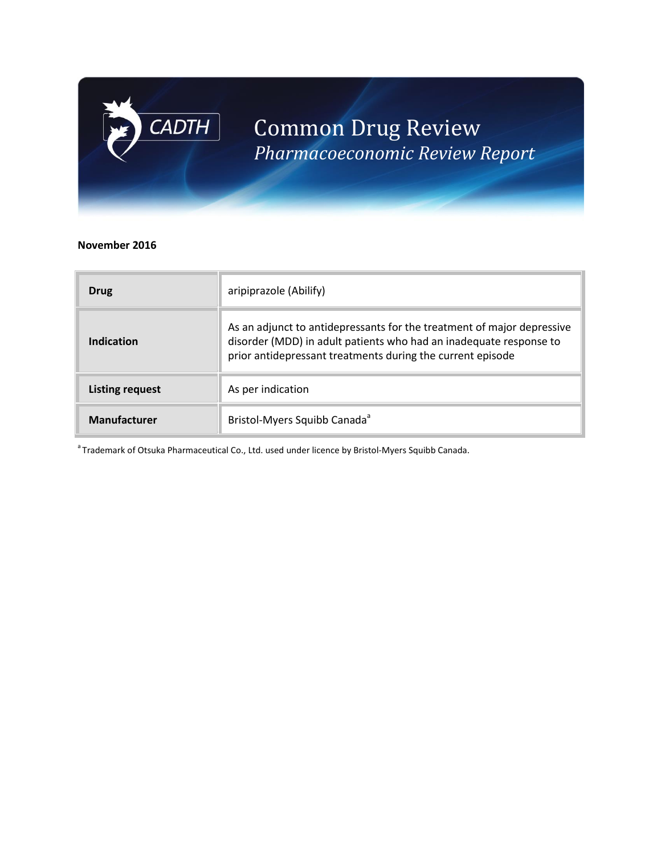

# Common Drug Review *Pharmacoeconomic Review Report*

#### **November 2016**

| Drug                   | aripiprazole (Abilify)                                                                                                                                                                                     |  |
|------------------------|------------------------------------------------------------------------------------------------------------------------------------------------------------------------------------------------------------|--|
| Indication             | As an adjunct to antidepressants for the treatment of major depressive<br>disorder (MDD) in adult patients who had an inadequate response to<br>prior antidepressant treatments during the current episode |  |
| <b>Listing request</b> | As per indication                                                                                                                                                                                          |  |
| <b>Manufacturer</b>    | Bristol-Myers Squibb Canada <sup>ª</sup>                                                                                                                                                                   |  |

<sup>a</sup> Trademark of Otsuka Pharmaceutical Co., Ltd. used under licence by Bristol-Myers Squibb Canada.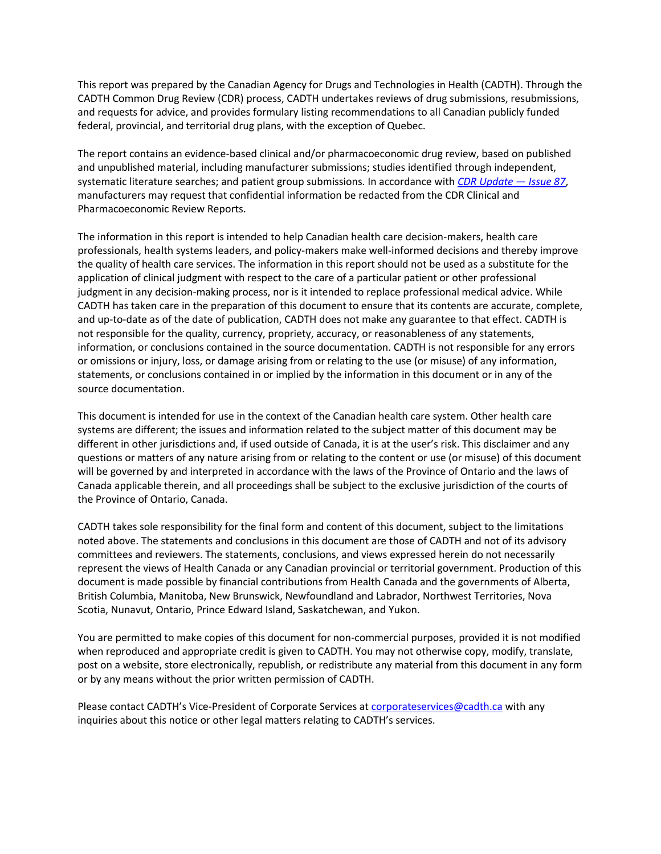This report was prepared by the Canadian Agency for Drugs and Technologies in Health (CADTH). Through the CADTH Common Drug Review (CDR) process, CADTH undertakes reviews of drug submissions, resubmissions, and requests for advice, and provides formulary listing recommendations to all Canadian publicly funded federal, provincial, and territorial drug plans, with the exception of Quebec.

The report contains an evidence-based clinical and/or pharmacoeconomic drug review, based on published and unpublished material, including manufacturer submissions; studies identified through independent, systematic literature searches; and patient group submissions. In accordance with *[CDR Update](http://www.cadth.ca/en/products/cdr/cdr-update/cdr-update-87) — Issue 87*, manufacturers may request that confidential information be redacted from the CDR Clinical and Pharmacoeconomic Review Reports.

The information in this report is intended to help Canadian health care decision-makers, health care professionals, health systems leaders, and policy-makers make well-informed decisions and thereby improve the quality of health care services. The information in this report should not be used as a substitute for the application of clinical judgment with respect to the care of a particular patient or other professional judgment in any decision-making process, nor is it intended to replace professional medical advice. While CADTH has taken care in the preparation of this document to ensure that its contents are accurate, complete, and up-to-date as of the date of publication, CADTH does not make any guarantee to that effect. CADTH is not responsible for the quality, currency, propriety, accuracy, or reasonableness of any statements, information, or conclusions contained in the source documentation. CADTH is not responsible for any errors or omissions or injury, loss, or damage arising from or relating to the use (or misuse) of any information, statements, or conclusions contained in or implied by the information in this document or in any of the source documentation.

This document is intended for use in the context of the Canadian health care system. Other health care systems are different; the issues and information related to the subject matter of this document may be different in other jurisdictions and, if used outside of Canada, it is at the user's risk. This disclaimer and any questions or matters of any nature arising from or relating to the content or use (or misuse) of this document will be governed by and interpreted in accordance with the laws of the Province of Ontario and the laws of Canada applicable therein, and all proceedings shall be subject to the exclusive jurisdiction of the courts of the Province of Ontario, Canada.

CADTH takes sole responsibility for the final form and content of this document, subject to the limitations noted above. The statements and conclusions in this document are those of CADTH and not of its advisory committees and reviewers. The statements, conclusions, and views expressed herein do not necessarily represent the views of Health Canada or any Canadian provincial or territorial government. Production of this document is made possible by financial contributions from Health Canada and the governments of Alberta, British Columbia, Manitoba, New Brunswick, Newfoundland and Labrador, Northwest Territories, Nova Scotia, Nunavut, Ontario, Prince Edward Island, Saskatchewan, and Yukon.

You are permitted to make copies of this document for non-commercial purposes, provided it is not modified when reproduced and appropriate credit is given to CADTH. You may not otherwise copy, modify, translate, post on a website, store electronically, republish, or redistribute any material from this document in any form or by any means without the prior written permission of CADTH.

Please contact CADTH's Vice-President of Corporate Services at [corporateservices@cadth.ca](mailto:corporateservices@cadth.ca) with any inquiries about this notice or other legal matters relating to CADTH's services.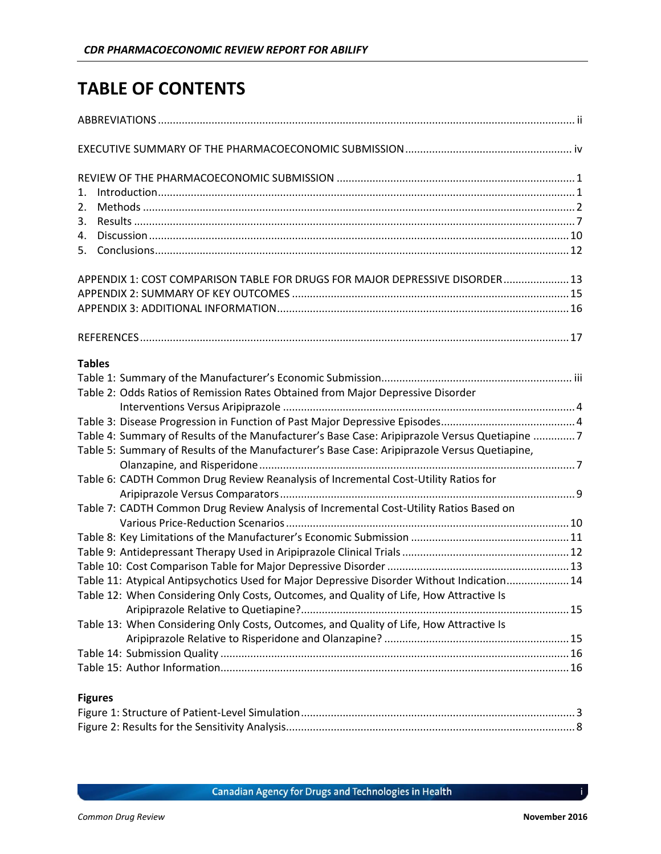## **TABLE OF CONTENTS**

| 1.                                                                                            |  |
|-----------------------------------------------------------------------------------------------|--|
| 2.                                                                                            |  |
| 3.                                                                                            |  |
| 4.                                                                                            |  |
|                                                                                               |  |
| APPENDIX 1: COST COMPARISON TABLE FOR DRUGS FOR MAJOR DEPRESSIVE DISORDER 13                  |  |
|                                                                                               |  |
|                                                                                               |  |
|                                                                                               |  |
| <b>Tables</b>                                                                                 |  |
|                                                                                               |  |
| Table 2: Odds Ratios of Remission Rates Obtained from Major Depressive Disorder               |  |
|                                                                                               |  |
|                                                                                               |  |
| Table 4: Summary of Results of the Manufacturer's Base Case: Aripiprazole Versus Quetiapine 7 |  |
| Table 5: Summary of Results of the Manufacturer's Base Case: Aripiprazole Versus Quetiapine,  |  |
|                                                                                               |  |
| Table 6: CADTH Common Drug Review Reanalysis of Incremental Cost-Utility Ratios for           |  |
|                                                                                               |  |
| Table 7: CADTH Common Drug Review Analysis of Incremental Cost-Utility Ratios Based on        |  |
|                                                                                               |  |
|                                                                                               |  |
|                                                                                               |  |
| Table 11: Atypical Antipsychotics Used for Major Depressive Disorder Without Indication 14    |  |
| Table 12: When Considering Only Costs, Outcomes, and Quality of Life, How Attractive Is       |  |
|                                                                                               |  |
| Table 13: When Considering Only Costs, Outcomes, and Quality of Life, How Attractive Is       |  |
|                                                                                               |  |
|                                                                                               |  |
|                                                                                               |  |
|                                                                                               |  |
| <b>Figures</b>                                                                                |  |

i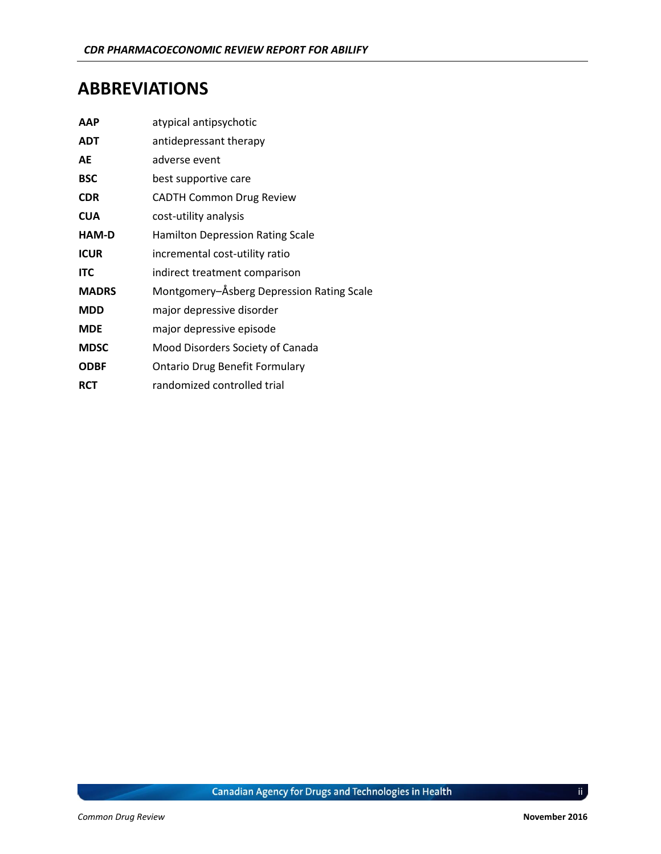### <span id="page-3-0"></span>**ABBREVIATIONS**

| <b>AAP</b>   | atypical antipsychotic                    |
|--------------|-------------------------------------------|
| <b>ADT</b>   | antidepressant therapy                    |
| AE           | adverse event                             |
| <b>BSC</b>   | best supportive care                      |
| <b>CDR</b>   | <b>CADTH Common Drug Review</b>           |
| <b>CUA</b>   | cost-utility analysis                     |
| HAM-D        | Hamilton Depression Rating Scale          |
| <b>ICUR</b>  | incremental cost-utility ratio            |
| <b>ITC</b>   | indirect treatment comparison             |
| <b>MADRS</b> | Montgomery-Åsberg Depression Rating Scale |
| <b>MDD</b>   | major depressive disorder                 |
| <b>MDE</b>   | major depressive episode                  |
| <b>MDSC</b>  | Mood Disorders Society of Canada          |
| <b>ODBF</b>  | <b>Ontario Drug Benefit Formulary</b>     |
| <b>RCT</b>   | randomized controlled trial               |

ii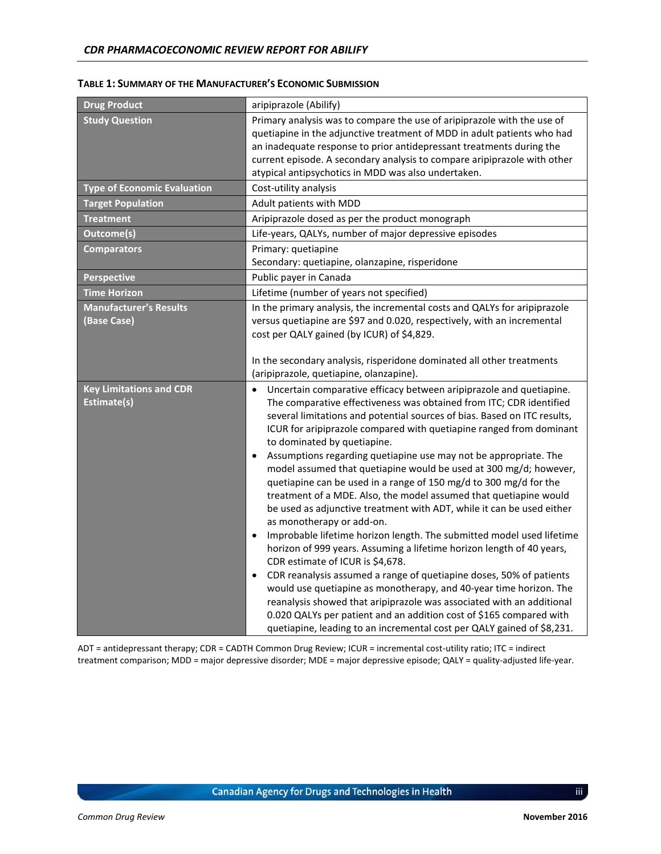| <b>Drug Product</b>                                 | aripiprazole (Abilify)                                                                                                                                                                                                                                                                                                                                                                                                                                                                                                                                                                                                                                                                                                                                                                                                                                                                                                                                                                                                                                                                                                                                                                                                                                                                                                                 |  |
|-----------------------------------------------------|----------------------------------------------------------------------------------------------------------------------------------------------------------------------------------------------------------------------------------------------------------------------------------------------------------------------------------------------------------------------------------------------------------------------------------------------------------------------------------------------------------------------------------------------------------------------------------------------------------------------------------------------------------------------------------------------------------------------------------------------------------------------------------------------------------------------------------------------------------------------------------------------------------------------------------------------------------------------------------------------------------------------------------------------------------------------------------------------------------------------------------------------------------------------------------------------------------------------------------------------------------------------------------------------------------------------------------------|--|
| <b>Study Question</b>                               | Primary analysis was to compare the use of aripiprazole with the use of<br>quetiapine in the adjunctive treatment of MDD in adult patients who had<br>an inadequate response to prior antidepressant treatments during the<br>current episode. A secondary analysis to compare aripiprazole with other<br>atypical antipsychotics in MDD was also undertaken.                                                                                                                                                                                                                                                                                                                                                                                                                                                                                                                                                                                                                                                                                                                                                                                                                                                                                                                                                                          |  |
| <b>Type of Economic Evaluation</b>                  | Cost-utility analysis                                                                                                                                                                                                                                                                                                                                                                                                                                                                                                                                                                                                                                                                                                                                                                                                                                                                                                                                                                                                                                                                                                                                                                                                                                                                                                                  |  |
| <b>Target Population</b>                            | Adult patients with MDD                                                                                                                                                                                                                                                                                                                                                                                                                                                                                                                                                                                                                                                                                                                                                                                                                                                                                                                                                                                                                                                                                                                                                                                                                                                                                                                |  |
| <b>Treatment</b>                                    | Aripiprazole dosed as per the product monograph                                                                                                                                                                                                                                                                                                                                                                                                                                                                                                                                                                                                                                                                                                                                                                                                                                                                                                                                                                                                                                                                                                                                                                                                                                                                                        |  |
| Outcome(s)                                          | Life-years, QALYs, number of major depressive episodes                                                                                                                                                                                                                                                                                                                                                                                                                                                                                                                                                                                                                                                                                                                                                                                                                                                                                                                                                                                                                                                                                                                                                                                                                                                                                 |  |
| <b>Comparators</b>                                  | Primary: quetiapine<br>Secondary: quetiapine, olanzapine, risperidone                                                                                                                                                                                                                                                                                                                                                                                                                                                                                                                                                                                                                                                                                                                                                                                                                                                                                                                                                                                                                                                                                                                                                                                                                                                                  |  |
| <b>Perspective</b>                                  | Public payer in Canada                                                                                                                                                                                                                                                                                                                                                                                                                                                                                                                                                                                                                                                                                                                                                                                                                                                                                                                                                                                                                                                                                                                                                                                                                                                                                                                 |  |
| <b>Time Horizon</b>                                 | Lifetime (number of years not specified)                                                                                                                                                                                                                                                                                                                                                                                                                                                                                                                                                                                                                                                                                                                                                                                                                                                                                                                                                                                                                                                                                                                                                                                                                                                                                               |  |
| <b>Manufacturer's Results</b><br><b>(Base Case)</b> | In the primary analysis, the incremental costs and QALYs for aripiprazole<br>versus quetiapine are \$97 and 0.020, respectively, with an incremental<br>cost per QALY gained (by ICUR) of \$4,829.                                                                                                                                                                                                                                                                                                                                                                                                                                                                                                                                                                                                                                                                                                                                                                                                                                                                                                                                                                                                                                                                                                                                     |  |
|                                                     | In the secondary analysis, risperidone dominated all other treatments<br>(aripiprazole, quetiapine, olanzapine).                                                                                                                                                                                                                                                                                                                                                                                                                                                                                                                                                                                                                                                                                                                                                                                                                                                                                                                                                                                                                                                                                                                                                                                                                       |  |
| <b>Key Limitations and CDR</b><br>Estimate(s)       | Uncertain comparative efficacy between aripiprazole and quetiapine.<br>$\bullet$<br>The comparative effectiveness was obtained from ITC; CDR identified<br>several limitations and potential sources of bias. Based on ITC results,<br>ICUR for aripiprazole compared with quetiapine ranged from dominant<br>to dominated by quetiapine.<br>Assumptions regarding quetiapine use may not be appropriate. The<br>$\bullet$<br>model assumed that quetiapine would be used at 300 mg/d; however,<br>quetiapine can be used in a range of 150 mg/d to 300 mg/d for the<br>treatment of a MDE. Also, the model assumed that quetiapine would<br>be used as adjunctive treatment with ADT, while it can be used either<br>as monotherapy or add-on.<br>Improbable lifetime horizon length. The submitted model used lifetime<br>$\bullet$<br>horizon of 999 years. Assuming a lifetime horizon length of 40 years,<br>CDR estimate of ICUR is \$4,678.<br>CDR reanalysis assumed a range of quetiapine doses, 50% of patients<br>$\bullet$<br>would use quetiapine as monotherapy, and 40-year time horizon. The<br>reanalysis showed that aripiprazole was associated with an additional<br>0.020 QALYs per patient and an addition cost of \$165 compared with<br>quetiapine, leading to an incremental cost per QALY gained of \$8,231. |  |

#### <span id="page-4-0"></span>**TABLE 1: SUMMARY OF THE MANUFACTURER'S ECONOMIC SUBMISSION**

ADT = antidepressant therapy; CDR = CADTH Common Drug Review; ICUR = incremental cost-utility ratio; ITC = indirect treatment comparison; MDD = major depressive disorder; MDE = major depressive episode; QALY = quality-adjusted life-year.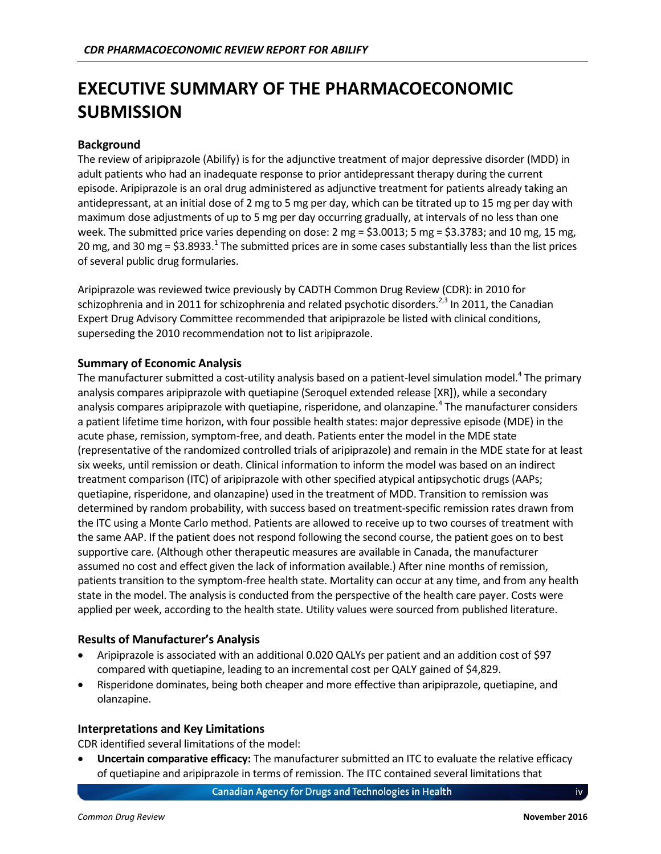## <span id="page-5-0"></span>**EXECUTIVE SUMMARY OF THE PHARMACOECONOMIC SUBMISSION**

#### **Background**

The review of aripiprazole (Abilify) is for the adjunctive treatment of major depressive disorder (MDD) in adult patients who had an inadequate response to prior antidepressant therapy during the current episode. Aripiprazole is an oral drug administered as adjunctive treatment for patients already taking an antidepressant, at an initial dose of 2 mg to 5 mg per day, which can be titrated up to 15 mg per day with maximum dose adjustments of up to 5 mg per day occurring gradually, at intervals of no less than one week. The submitted price varies depending on dose: 2 mg = \$3.0013; 5 mg = \$3.3783; and 10 mg, 15 mg, 20 mg, and 30 mg = \$3.8933.<sup>1</sup> The submitted prices are in some cases substantially less than the list prices of several public drug formularies.

Aripiprazole was reviewed twice previously by CADTH Common Drug Review (CDR): in 2010 for schizophrenia and in 2011 for schizophrenia and related psychotic disorders.<sup>2,3</sup> In 2011, the Canadian Expert Drug Advisory Committee recommended that aripiprazole be listed with clinical conditions, superseding the 2010 recommendation not to list aripiprazole.

#### **Summary of Economic Analysis**

The manufacturer submitted a cost-utility analysis based on a patient-level simulation model.<sup>4</sup> The primary analysis compares aripiprazole with quetiapine (Seroquel extended release [XR]), while a secondary analysis compares aripiprazole with quetiapine, risperidone, and olanzapine.<sup>4</sup> The manufacturer considers a patient lifetime time horizon, with four possible health states: major depressive episode (MDE) in the acute phase, remission, symptom-free, and death. Patients enter the model in the MDE state (representative of the randomized controlled trials of aripiprazole) and remain in the MDE state for at least six weeks, until remission or death. Clinical information to inform the model was based on an indirect treatment comparison (ITC) of aripiprazole with other specified atypical antipsychotic drugs (AAPs; quetiapine, risperidone, and olanzapine) used in the treatment of MDD. Transition to remission was determined by random probability, with success based on treatment-specific remission rates drawn from the ITC using a Monte Carlo method. Patients are allowed to receive up to two courses of treatment with the same AAP. If the patient does not respond following the second course, the patient goes on to best supportive care. (Although other therapeutic measures are available in Canada, the manufacturer assumed no cost and effect given the lack of information available.) After nine months of remission, patients transition to the symptom-free health state. Mortality can occur at any time, and from any health state in the model. The analysis is conducted from the perspective of the health care payer. Costs were applied per week, according to the health state. Utility values were sourced from published literature.

#### **Results of Manufacturer's Analysis**

- Aripiprazole is associated with an additional 0.020 QALYs per patient and an addition cost of \$97 compared with quetiapine, leading to an incremental cost per QALY gained of \$4,829.
- Risperidone dominates, being both cheaper and more effective than aripiprazole, quetiapine, and olanzapine.

#### **Interpretations and Key Limitations**

CDR identified several limitations of the model:

 **Uncertain comparative efficacy:** The manufacturer submitted an ITC to evaluate the relative efficacy of quetiapine and aripiprazole in terms of remission. The ITC contained several limitations that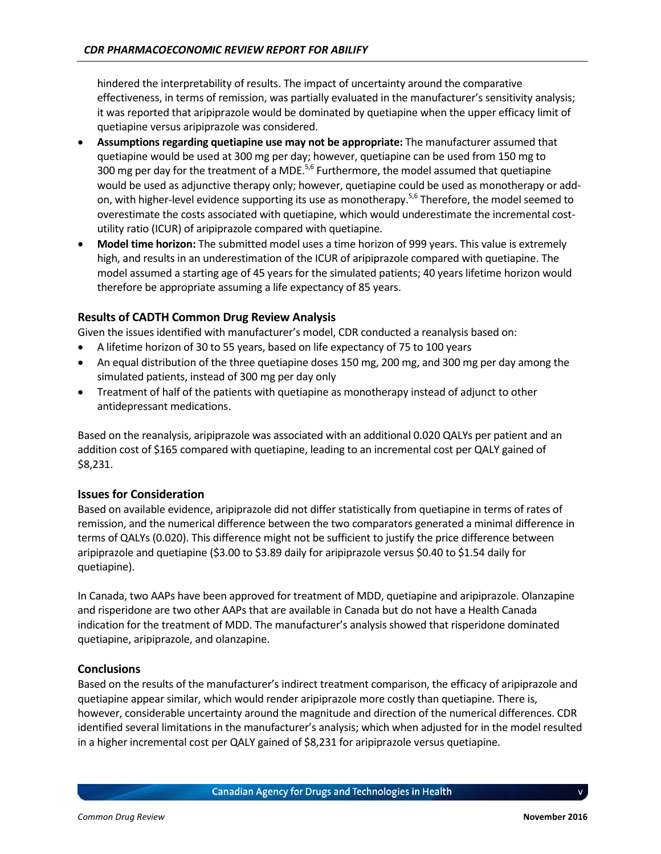hindered the interpretability of results. The impact of uncertainty around the comparative effectiveness, in terms of remission, was partially evaluated in the manufacturer's sensitivity analysis; it was reported that aripiprazole would be dominated by quetiapine when the upper efficacy limit of quetiapine versus aripiprazole was considered.

- **Assumptions regarding quetiapine use may not be appropriate:** The manufacturer assumed that quetiapine would be used at 300 mg per day; however, quetiapine can be used from 150 mg to 300 mg per day for the treatment of a MDE.<sup>5,6</sup> Furthermore, the model assumed that quetiapine would be used as adjunctive therapy only; however, quetiapine could be used as monotherapy or addon, with higher-level evidence supporting its use as monotherapy.<sup>5,6</sup> Therefore, the model seemed to overestimate the costs associated with quetiapine, which would underestimate the incremental costutility ratio (ICUR) of aripiprazole compared with quetiapine.
- **Model time horizon:** The submitted model uses a time horizon of 999 years. This value is extremely high, and results in an underestimation of the ICUR of aripiprazole compared with quetiapine. The model assumed a starting age of 45 years for the simulated patients; 40 years lifetime horizon would therefore be appropriate assuming a life expectancy of 85 years.

#### **Results of CADTH Common Drug Review Analysis**

Given the issues identified with manufacturer's model, CDR conducted a reanalysis based on:

- A lifetime horizon of 30 to 55 years, based on life expectancy of 75 to 100 years
- An equal distribution of the three quetiapine doses 150 mg, 200 mg, and 300 mg per day among the simulated patients, instead of 300 mg per day only
- Treatment of half of the patients with quetiapine as monotherapy instead of adjunct to other antidepressant medications.

Based on the reanalysis, aripiprazole was associated with an additional 0.020 QALYs per patient and an addition cost of \$165 compared with quetiapine, leading to an incremental cost per QALY gained of \$8,231.

#### **Issues for Consideration**

Based on available evidence, aripiprazole did not differ statistically from quetiapine in terms of rates of remission, and the numerical difference between the two comparators generated a minimal difference in terms of QALYs (0.020). This difference might not be sufficient to justify the price difference between aripiprazole and quetiapine (\$3.00 to \$3.89 daily for aripiprazole versus \$0.40 to \$1.54 daily for quetiapine).

In Canada, two AAPs have been approved for treatment of MDD, quetiapine and aripiprazole. Olanzapine and risperidone are two other AAPs that are available in Canada but do not have a Health Canada indication for the treatment of MDD. The manufacturer's analysis showed that risperidone dominated quetiapine, aripiprazole, and olanzapine.

#### **Conclusions**

Based on the results of the manufacturer's indirect treatment comparison, the efficacy of aripiprazole and quetiapine appear similar, which would render aripiprazole more costly than quetiapine. There is, however, considerable uncertainty around the magnitude and direction of the numerical differences. CDR identified several limitations in the manufacturer's analysis; which when adjusted for in the model resulted in a higher incremental cost per QALY gained of \$8,231 for aripiprazole versus quetiapine.

v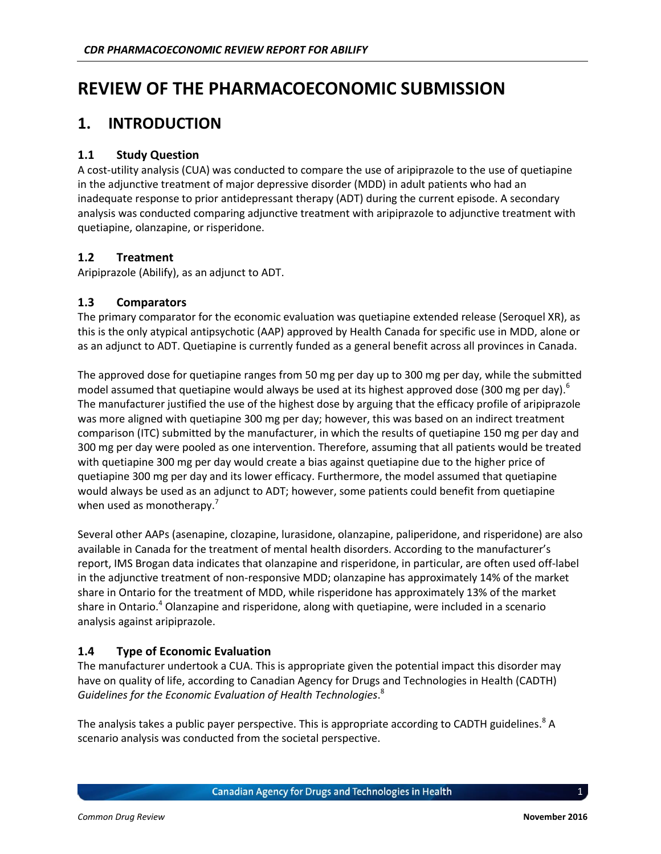## <span id="page-7-0"></span>**REVIEW OF THE PHARMACOECONOMIC SUBMISSION**

### <span id="page-7-1"></span>**1. INTRODUCTION**

#### **1.1 Study Question**

A cost-utility analysis (CUA) was conducted to compare the use of aripiprazole to the use of quetiapine in the adjunctive treatment of major depressive disorder (MDD) in adult patients who had an inadequate response to prior antidepressant therapy (ADT) during the current episode. A secondary analysis was conducted comparing adjunctive treatment with aripiprazole to adjunctive treatment with quetiapine, olanzapine, or risperidone.

#### **1.2 Treatment**

Aripiprazole (Abilify), as an adjunct to ADT.

#### **1.3 Comparators**

The primary comparator for the economic evaluation was quetiapine extended release (Seroquel XR), as this is the only atypical antipsychotic (AAP) approved by Health Canada for specific use in MDD, alone or as an adjunct to ADT. Quetiapine is currently funded as a general benefit across all provinces in Canada.

The approved dose for quetiapine ranges from 50 mg per day up to 300 mg per day, while the submitted model assumed that quetiapine would always be used at its highest approved dose (300 mg per day).<sup>6</sup> The manufacturer justified the use of the highest dose by arguing that the efficacy profile of aripiprazole was more aligned with quetiapine 300 mg per day; however, this was based on an indirect treatment comparison (ITC) submitted by the manufacturer, in which the results of quetiapine 150 mg per day and 300 mg per day were pooled as one intervention. Therefore, assuming that all patients would be treated with quetiapine 300 mg per day would create a bias against quetiapine due to the higher price of quetiapine 300 mg per day and its lower efficacy. Furthermore, the model assumed that quetiapine would always be used as an adjunct to ADT; however, some patients could benefit from quetiapine when used as monotherapy.<sup>7</sup>

Several other AAPs (asenapine, clozapine, lurasidone, olanzapine, paliperidone, and risperidone) are also available in Canada for the treatment of mental health disorders. According to the manufacturer's report, IMS Brogan data indicates that olanzapine and risperidone, in particular, are often used off-label in the adjunctive treatment of non-responsive MDD; olanzapine has approximately 14% of the market share in Ontario for the treatment of MDD, while risperidone has approximately 13% of the market share in Ontario.<sup>4</sup> Olanzapine and risperidone, along with quetiapine, were included in a scenario analysis against aripiprazole.

#### **1.4 Type of Economic Evaluation**

The manufacturer undertook a CUA. This is appropriate given the potential impact this disorder may have on quality of life, according to Canadian Agency for Drugs and Technologies in Health (CADTH) *Guidelines for the Economic Evaluation of Health Technologies*. 8

The analysis takes a public payer perspective. This is appropriate according to CADTH guidelines.<sup>8</sup> A scenario analysis was conducted from the societal perspective.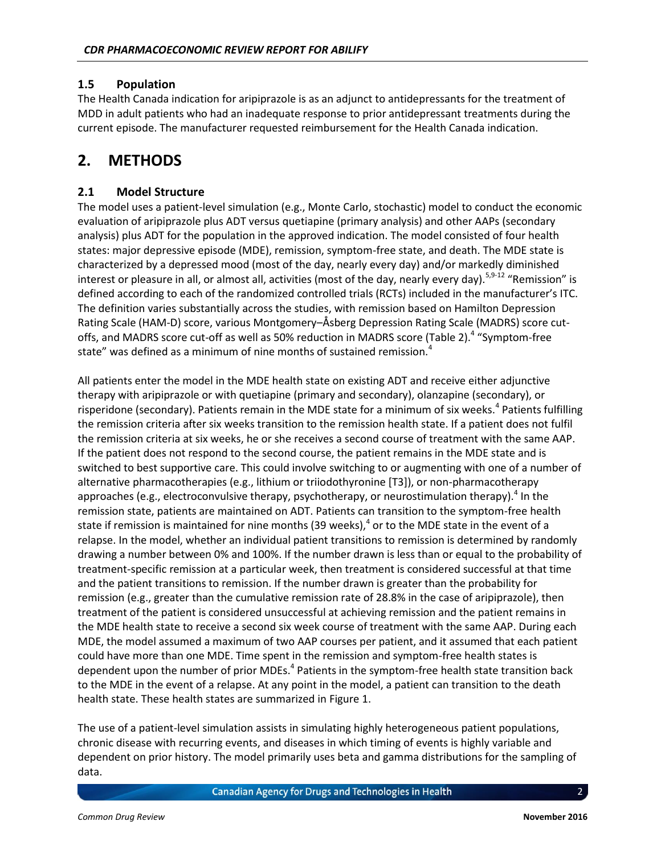#### **1.5 Population**

The Health Canada indication for aripiprazole is as an adjunct to antidepressants for the treatment of MDD in adult patients who had an inadequate response to prior antidepressant treatments during the current episode. The manufacturer requested reimbursement for the Health Canada indication.

### <span id="page-8-0"></span>**2. METHODS**

#### **2.1 Model Structure**

The model uses a patient-level simulation (e.g., Monte Carlo, stochastic) model to conduct the economic evaluation of aripiprazole plus ADT versus quetiapine (primary analysis) and other AAPs (secondary analysis) plus ADT for the population in the approved indication. The model consisted of four health states: major depressive episode (MDE), remission, symptom-free state, and death. The MDE state is characterized by a depressed mood (most of the day, nearly every day) and/or markedly diminished interest or pleasure in all, or almost all, activities (most of the day, nearly every day).<sup>5,9-12</sup> "Remission" is defined according to each of the randomized controlled trials (RCTs) included in the manufacturer's ITC. The definition varies substantially across the studies, with remission based on Hamilton Depression Rating Scale (HAM-D) score, various Montgomery–Åsberg Depression Rating Scale (MADRS) score cut-offs, and MADRS score cut-off as well as 50% reduction in MADRS score [\(Table 2\)](#page-10-0).<sup>4</sup> "Symptom-free state" was defined as a minimum of nine months of sustained remission.<sup>4</sup>

All patients enter the model in the MDE health state on existing ADT and receive either adjunctive therapy with aripiprazole or with quetiapine (primary and secondary), olanzapine (secondary), or risperidone (secondary). Patients remain in the MDE state for a minimum of six weeks.<sup>4</sup> Patients fulfilling the remission criteria after six weeks transition to the remission health state. If a patient does not fulfil the remission criteria at six weeks, he or she receives a second course of treatment with the same AAP. If the patient does not respond to the second course, the patient remains in the MDE state and is switched to best supportive care. This could involve switching to or augmenting with one of a number of alternative pharmacotherapies (e.g., lithium or triiodothyronine [T3]), or non-pharmacotherapy approaches (e.g., electroconvulsive therapy, psychotherapy, or neurostimulation therapy).<sup>4</sup> In the remission state, patients are maintained on ADT. Patients can transition to the symptom-free health state if remission is maintained for nine months (39 weeks), $^4$  or to the MDE state in the event of a relapse. In the model, whether an individual patient transitions to remission is determined by randomly drawing a number between 0% and 100%. If the number drawn is less than or equal to the probability of treatment-specific remission at a particular week, then treatment is considered successful at that time and the patient transitions to remission. If the number drawn is greater than the probability for remission (e.g., greater than the cumulative remission rate of 28.8% in the case of aripiprazole), then treatment of the patient is considered unsuccessful at achieving remission and the patient remains in the MDE health state to receive a second six week course of treatment with the same AAP. During each MDE, the model assumed a maximum of two AAP courses per patient, and it assumed that each patient could have more than one MDE. Time spent in the remission and symptom-free health states is dependent upon the number of prior MDEs.<sup>4</sup> Patients in the symptom-free health state transition back to the MDE in the event of a relapse. At any point in the model, a patient can transition to the death health state. These health states are summarized in [Figure 1.](#page-9-0)

The use of a patient-level simulation assists in simulating highly heterogeneous patient populations, chronic disease with recurring events, and diseases in which timing of events is highly variable and dependent on prior history. The model primarily uses beta and gamma distributions for the sampling of data.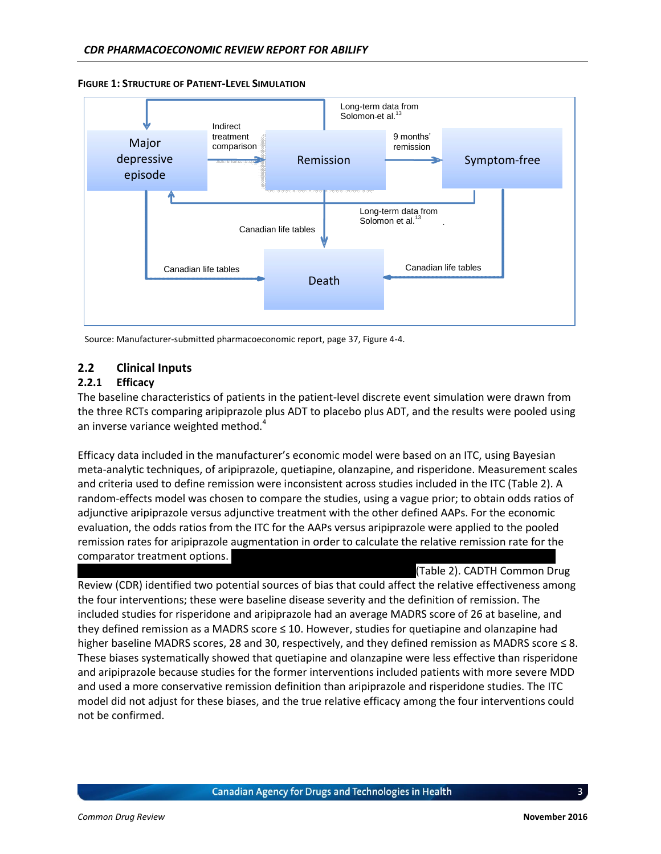

#### <span id="page-9-0"></span>**FIGURE 1: STRUCTURE OF PATIENT-LEVEL SIMULATION**

Source: Manufacturer-submitted pharmacoeconomic report, page 37, Figure 4-4.

#### **2.2 Clinical Inputs**

#### **2.2.1 Efficacy**

The baseline characteristics of patients in the patient-level discrete event simulation were drawn from the three RCTs comparing aripiprazole plus ADT to placebo plus ADT, and the results were pooled using an inverse variance weighted method.<sup>4</sup>

Efficacy data included in the manufacturer's economic model were based on an ITC, using Bayesian meta-analytic techniques, of aripiprazole, quetiapine, olanzapine, and risperidone. Measurement scales and criteria used to define remission were inconsistent across studies included in the ITC [\(Table 2\)](#page-10-0). A random-effects model was chosen to compare the studies, using a vague prior; to obtain odds ratios of adjunctive aripiprazole versus adjunctive treatment with the other defined AAPs. For the economic evaluation, the odds ratios from the ITC for the AAPs versus aripiprazole were applied to the pooled remission rates for aripiprazole augmentation in order to calculate the relative remission rate for the comparator treatment options.

[\(Table 2\)](#page-10-0). CADTH Common Drug Review (CDR) identified two potential sources of bias that could affect the relative effectiveness among the four interventions; these were baseline disease severity and the definition of remission. The included studies for risperidone and aripiprazole had an average MADRS score of 26 at baseline, and they defined remission as a MADRS score ≤ 10. However, studies for quetiapine and olanzapine had higher baseline MADRS scores, 28 and 30, respectively, and they defined remission as MADRS score ≤ 8. These biases systematically showed that quetiapine and olanzapine were less effective than risperidone and aripiprazole because studies for the former interventions included patients with more severe MDD and used a more conservative remission definition than aripiprazole and risperidone studies. The ITC model did not adjust for these biases, and the true relative efficacy among the four interventions could not be confirmed.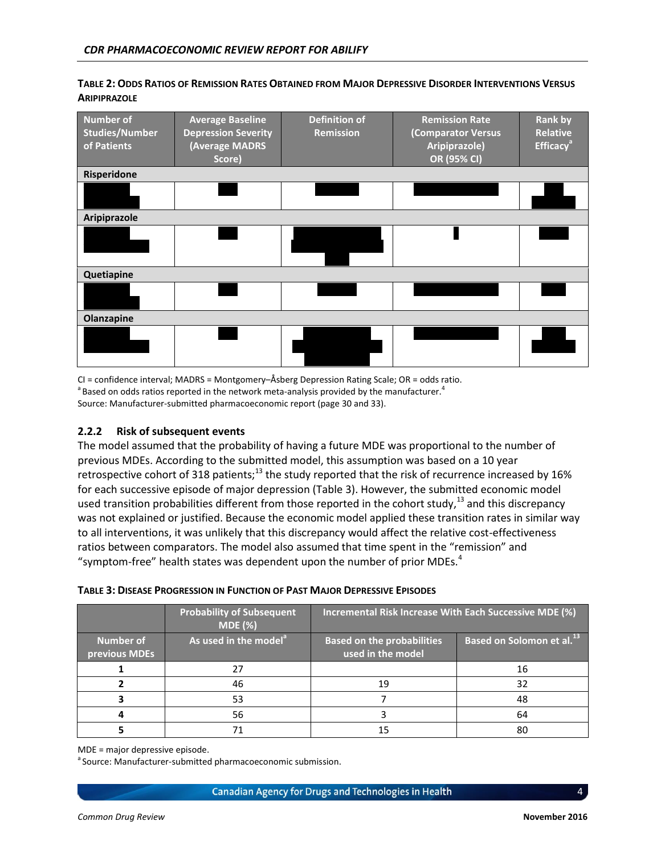| <b>Number of</b><br><b>Studies/Number</b><br>of Patients | <b>Average Baseline</b><br><b>Depression Severity</b><br>(Average MADRS<br>Score) | <b>Definition of</b><br><b>Remission</b> | <b>Remission Rate</b><br>(Comparator Versus<br>Aripiprazole)<br>OR (95% CI) | <b>Rank by</b><br><b>Relative</b><br><b>Efficacy<sup>ª</sup></b> |
|----------------------------------------------------------|-----------------------------------------------------------------------------------|------------------------------------------|-----------------------------------------------------------------------------|------------------------------------------------------------------|
| Risperidone                                              |                                                                                   |                                          |                                                                             |                                                                  |
|                                                          |                                                                                   |                                          |                                                                             |                                                                  |
| Aripiprazole                                             |                                                                                   |                                          |                                                                             |                                                                  |
|                                                          |                                                                                   |                                          |                                                                             |                                                                  |
| Quetiapine                                               |                                                                                   |                                          |                                                                             |                                                                  |
|                                                          |                                                                                   |                                          |                                                                             |                                                                  |
| Olanzapine                                               |                                                                                   |                                          |                                                                             |                                                                  |
|                                                          |                                                                                   |                                          |                                                                             |                                                                  |

#### <span id="page-10-0"></span>TABLE 2: ODDS RATIOS OF REMISSION RATES OBTAINED FROM MAJOR DEPRESSIVE DISORDER INTERVENTIONS VERSUS **ARIPIPRAZOLE**

CI = confidence interval; MADRS = Montgomery–Åsberg Depression Rating Scale; OR = odds ratio.  $^{\rm a}$ Based on odds ratios reported in the network meta-analysis provided by the manufacturer.<sup>4</sup> Source: Manufacturer-submitted pharmacoeconomic report (page 30 and 33).

#### **2.2.2 Risk of subsequent events**

The model assumed that the probability of having a future MDE was proportional to the number of previous MDEs. According to the submitted model, this assumption was based on a 10 year retrospective cohort of 318 patients;<sup>13</sup> the study reported that the risk of recurrence increased by 16% for each successive episode of major depression [\(Table 3\)](#page-10-1). However, the submitted economic model used transition probabilities different from those reported in the cohort study,<sup>13</sup> and this discrepancy was not explained or justified. Because the economic model applied these transition rates in similar way to all interventions, it was unlikely that this discrepancy would affect the relative cost-effectiveness ratios between comparators. The model also assumed that time spent in the "remission" and "symptom-free" health states was dependent upon the number of prior MDEs. $4$ 

#### <span id="page-10-1"></span>**TABLE 3: DISEASE PROGRESSION IN FUNCTION OF PAST MAJOR DEPRESSIVE EPISODES**

|                                   | <b>Probability of Subsequent</b><br>MDE(%) | Incremental Risk Increase With Each Successive MDE (%) |                                              |  |
|-----------------------------------|--------------------------------------------|--------------------------------------------------------|----------------------------------------------|--|
| <b>Number of</b><br>previous MDEs | As used in the model <sup>a</sup>          | <b>Based on the probabilities</b><br>used in the model | <b>Based on Solomon et al.</b> <sup>13</sup> |  |
|                                   |                                            |                                                        | 16                                           |  |
|                                   | 46                                         | 19                                                     | 32                                           |  |
|                                   | 53                                         |                                                        | 48                                           |  |
|                                   | 56                                         |                                                        | 64                                           |  |
|                                   |                                            |                                                        | 80                                           |  |

MDE = major depressive episode.

<sup>a</sup> Source: Manufacturer-submitted pharmacoeconomic submission.

Canadian Agency for Drugs and Technologies in Health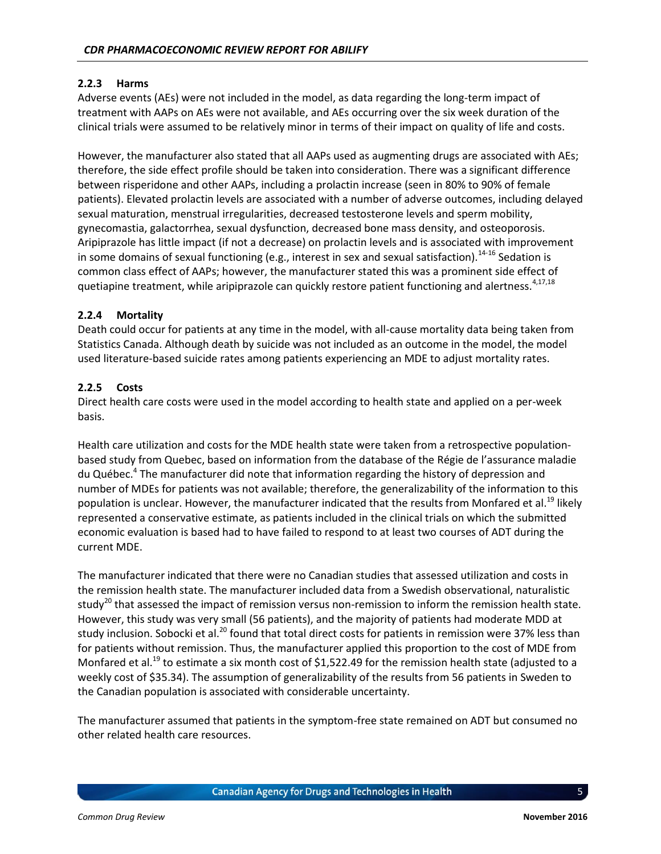#### **2.2.3 Harms**

Adverse events (AEs) were not included in the model, as data regarding the long-term impact of treatment with AAPs on AEs were not available, and AEs occurring over the six week duration of the clinical trials were assumed to be relatively minor in terms of their impact on quality of life and costs.

However, the manufacturer also stated that all AAPs used as augmenting drugs are associated with AEs; therefore, the side effect profile should be taken into consideration. There was a significant difference between risperidone and other AAPs, including a prolactin increase (seen in 80% to 90% of female patients). Elevated prolactin levels are associated with a number of adverse outcomes, including delayed sexual maturation, menstrual irregularities, decreased testosterone levels and sperm mobility, gynecomastia, galactorrhea, sexual dysfunction, decreased bone mass density, and osteoporosis. Aripiprazole has little impact (if not a decrease) on prolactin levels and is associated with improvement in some domains of sexual functioning (e.g., interest in sex and sexual satisfaction).<sup>14-16</sup> Sedation is common class effect of AAPs; however, the manufacturer stated this was a prominent side effect of quetiapine treatment, while aripiprazole can quickly restore patient functioning and alertness.<sup>4,17,18</sup>

#### **2.2.4 Mortality**

Death could occur for patients at any time in the model, with all-cause mortality data being taken from Statistics Canada. Although death by suicide was not included as an outcome in the model, the model used literature-based suicide rates among patients experiencing an MDE to adjust mortality rates.

#### **2.2.5 Costs**

Direct health care costs were used in the model according to health state and applied on a per-week basis.

Health care utilization and costs for the MDE health state were taken from a retrospective populationbased study from Quebec, based on information from the database of the Régie de l'assurance maladie du Québec.<sup>4</sup> The manufacturer did note that information regarding the history of depression and number of MDEs for patients was not available; therefore, the generalizability of the information to this population is unclear. However, the manufacturer indicated that the results from Monfared et al.<sup>19</sup> likely represented a conservative estimate, as patients included in the clinical trials on which the submitted economic evaluation is based had to have failed to respond to at least two courses of ADT during the current MDE.

The manufacturer indicated that there were no Canadian studies that assessed utilization and costs in the remission health state. The manufacturer included data from a Swedish observational, naturalistic study<sup>20</sup> that assessed the impact of remission versus non-remission to inform the remission health state. However, this study was very small (56 patients), and the majority of patients had moderate MDD at study inclusion. Sobocki et al.<sup>20</sup> found that total direct costs for patients in remission were 37% less than for patients without remission. Thus, the manufacturer applied this proportion to the cost of MDE from Monfared et al.<sup>19</sup> to estimate a six month cost of \$1,522.49 for the remission health state (adjusted to a weekly cost of \$35.34). The assumption of generalizability of the results from 56 patients in Sweden to the Canadian population is associated with considerable uncertainty.

The manufacturer assumed that patients in the symptom-free state remained on ADT but consumed no other related health care resources.

**Canadian Agency for Drugs and Technologies in Health**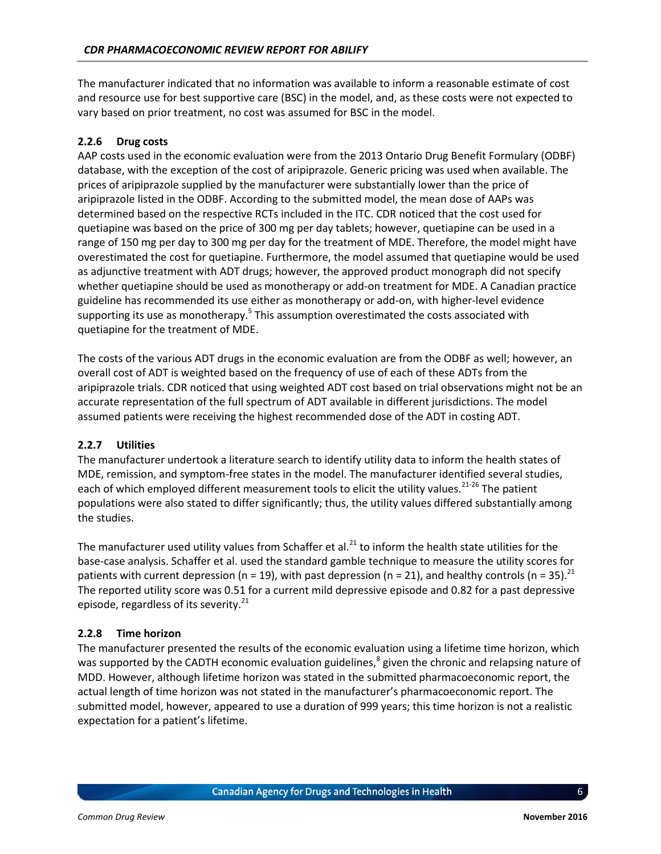The manufacturer indicated that no information was available to inform a reasonable estimate of cost and resource use for best supportive care (BSC) in the model, and, as these costs were not expected to vary based on prior treatment, no cost was assumed for BSC in the model.

#### **2.2.6 Drug costs**

AAP costs used in the economic evaluation were from the 2013 Ontario Drug Benefit Formulary (ODBF) database, with the exception of the cost of aripiprazole. Generic pricing was used when available. The prices of aripiprazole supplied by the manufacturer were substantially lower than the price of aripiprazole listed in the ODBF. According to the submitted model, the mean dose of AAPs was determined based on the respective RCTs included in the ITC. CDR noticed that the cost used for quetiapine was based on the price of 300 mg per day tablets; however, quetiapine can be used in a range of 150 mg per day to 300 mg per day for the treatment of MDE. Therefore, the model might have overestimated the cost for quetiapine. Furthermore, the model assumed that quetiapine would be used as adjunctive treatment with ADT drugs; however, the approved product monograph did not specify whether quetiapine should be used as monotherapy or add-on treatment for MDE. A Canadian practice guideline has recommended its use either as monotherapy or add-on, with higher-level evidence supporting its use as monotherapy.<sup>5</sup> This assumption overestimated the costs associated with quetiapine for the treatment of MDE.

The costs of the various ADT drugs in the economic evaluation are from the ODBF as well; however, an overall cost of ADT is weighted based on the frequency of use of each of these ADTs from the aripiprazole trials. CDR noticed that using weighted ADT cost based on trial observations might not be an accurate representation of the full spectrum of ADT available in different jurisdictions. The model assumed patients were receiving the highest recommended dose of the ADT in costing ADT.

#### **2.2.7 Utilities**

The manufacturer undertook a literature search to identify utility data to inform the health states of MDE, remission, and symptom-free states in the model. The manufacturer identified several studies, each of which employed different measurement tools to elicit the utility values.<sup>21-26</sup> The patient populations were also stated to differ significantly; thus, the utility values differed substantially among the studies.

The manufacturer used utility values from Schaffer et al. $^{21}$  to inform the health state utilities for the base-case analysis. Schaffer et al. used the standard gamble technique to measure the utility scores for patients with current depression (n = 19), with past depression (n = 21), and healthy controls (n = 35).<sup>21</sup> The reported utility score was 0.51 for a current mild depressive episode and 0.82 for a past depressive episode, regardless of its severity. $^{21}$ 

#### **2.2.8 Time horizon**

The manufacturer presented the results of the economic evaluation using a lifetime time horizon, which was supported by the CADTH economic evaluation guidelines,<sup>8</sup> given the chronic and relapsing nature of MDD. However, although lifetime horizon was stated in the submitted pharmacoeconomic report, the actual length of time horizon was not stated in the manufacturer's pharmacoeconomic report. The submitted model, however, appeared to use a duration of 999 years; this time horizon is not a realistic expectation for a patient's lifetime.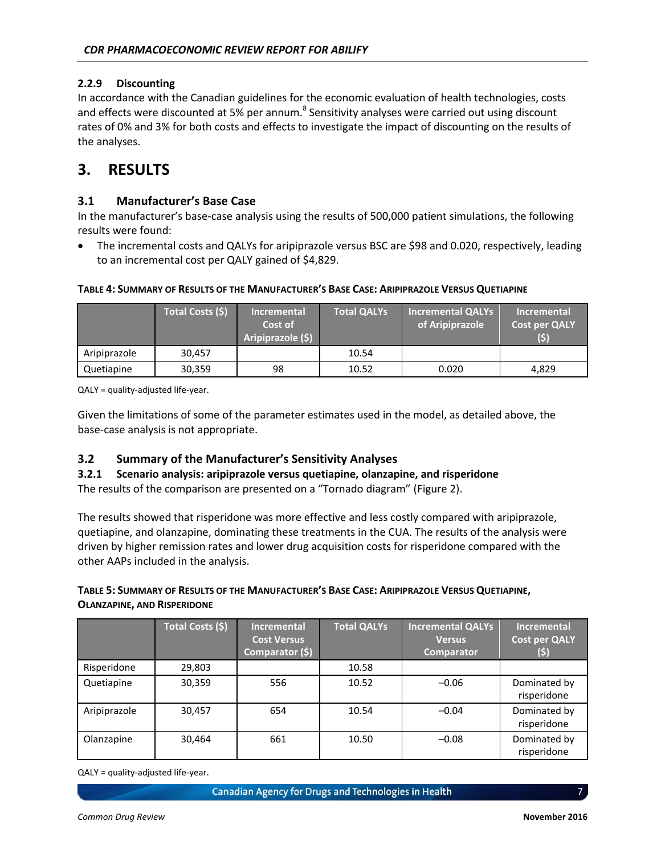#### **2.2.9 Discounting**

In accordance with the Canadian guidelines for the economic evaluation of health technologies, costs and effects were discounted at 5% per annum.<sup>8</sup> Sensitivity analyses were carried out using discount rates of 0% and 3% for both costs and effects to investigate the impact of discounting on the results of the analyses.

### <span id="page-13-0"></span>**3. RESULTS**

#### **3.1 Manufacturer's Base Case**

In the manufacturer's base-case analysis using the results of 500,000 patient simulations, the following results were found:

 The incremental costs and QALYs for aripiprazole versus BSC are \$98 and 0.020, respectively, leading to an incremental cost per QALY gained of \$4,829.

<span id="page-13-1"></span>

| TABLE 4: SUMMARY OF RESULTS OF THE MANUFACTURER'S BASE CASE: ARIPIPRAZOLE VERSUS QUETIAPINE |                         |                    |  |                                           |                  |
|---------------------------------------------------------------------------------------------|-------------------------|--------------------|--|-------------------------------------------|------------------|
|                                                                                             | <b>Total Costs (\$)</b> | <b>Incremental</b> |  | Total QALYs Incremental QALYs I           | <b>Increment</b> |
|                                                                                             |                         | Cost of            |  | of Arininrazola $\overline{C}$ ost nor OA |                  |

|              | Total Costs (\$) | <b>Incremental</b> | <b>Total QALYs</b> | Incremental QALYs | Incremental          |
|--------------|------------------|--------------------|--------------------|-------------------|----------------------|
|              |                  | Cost of            |                    | of Aripiprazole   | <b>Cost per QALY</b> |
|              |                  | Aripiprazole (\$)  |                    |                   | (5)                  |
| Aripiprazole | 30.457           |                    | 10.54              |                   |                      |
| Quetiapine   | 30.359           | 98                 | 10.52              | 0.020             | 4.829                |

QALY = quality-adjusted life-year.

Given the limitations of some of the parameter estimates used in the model, as detailed above, the base-case analysis is not appropriate.

#### **3.2 Summary of the Manufacturer's Sensitivity Analyses**

#### **3.2.1 Scenario analysis: aripiprazole versus quetiapine, olanzapine, and risperidone**

The results of the comparison are presented on a "Tornado diagram" ([Figure 2\)](#page-14-0).

The results showed that risperidone was more effective and less costly compared with aripiprazole, quetiapine, and olanzapine, dominating these treatments in the CUA. The results of the analysis were driven by higher remission rates and lower drug acquisition costs for risperidone compared with the other AAPs included in the analysis.

#### <span id="page-13-2"></span>TABLE 5: SUMMARY OF RESULTS OF THE MANUFACTURER'S BASE CASE: ARIPIPRAZOLE VERSUS QUETIAPINE, **OLANZAPINE, AND RISPERIDONE**

|              | Total Costs (\$) | <b>Incremental</b><br><b>Cost Versus</b><br>Comparator (\$) | <b>Total QALYs</b> | <b>Incremental QALYs</b><br><b>Versus</b><br><b>Comparator</b> | <b>Incremental</b><br><b>Cost per QALY</b><br>(\$) |
|--------------|------------------|-------------------------------------------------------------|--------------------|----------------------------------------------------------------|----------------------------------------------------|
| Risperidone  | 29,803           |                                                             | 10.58              |                                                                |                                                    |
| Quetiapine   | 30,359           | 556                                                         | 10.52              | $-0.06$                                                        | Dominated by<br>risperidone                        |
| Aripiprazole | 30,457           | 654                                                         | 10.54              | $-0.04$                                                        | Dominated by<br>risperidone                        |
| Olanzapine   | 30,464           | 661                                                         | 10.50              | $-0.08$                                                        | Dominated by<br>risperidone                        |

QALY = quality-adjusted life-year.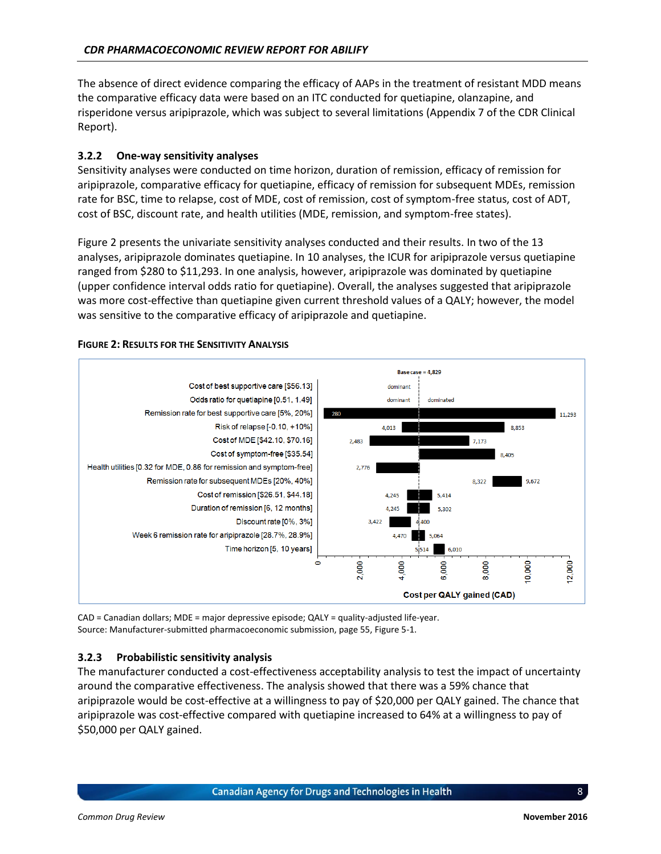The absence of direct evidence comparing the efficacy of AAPs in the treatment of resistant MDD means the comparative efficacy data were based on an ITC conducted for quetiapine, olanzapine, and risperidone versus aripiprazole, which was subject to several limitations (Appendix 7 of the CDR Clinical Report).

#### **3.2.2 One-way sensitivity analyses**

Sensitivity analyses were conducted on time horizon, duration of remission, efficacy of remission for aripiprazole, comparative efficacy for quetiapine, efficacy of remission for subsequent MDEs, remission rate for BSC, time to relapse, cost of MDE, cost of remission, cost of symptom-free status, cost of ADT, cost of BSC, discount rate, and health utilities (MDE, remission, and symptom-free states).

[Figure 2](#page-14-0) presents the univariate sensitivity analyses conducted and their results. In two of the 13 analyses, aripiprazole dominates quetiapine. In 10 analyses, the ICUR for aripiprazole versus quetiapine ranged from \$280 to \$11,293. In one analysis, however, aripiprazole was dominated by quetiapine (upper confidence interval odds ratio for quetiapine). Overall, the analyses suggested that aripiprazole was more cost-effective than quetiapine given current threshold values of a QALY; however, the model was sensitive to the comparative efficacy of aripiprazole and quetiapine.



#### <span id="page-14-0"></span>**FIGURE 2: RESULTS FOR THE SENSITIVITY ANALYSIS**

CAD = Canadian dollars; MDE = major depressive episode; QALY = quality-adjusted life-year. Source: Manufacturer-submitted pharmacoeconomic submission, page 55, Figure 5-1.

#### **3.2.3 Probabilistic sensitivity analysis**

The manufacturer conducted a cost-effectiveness acceptability analysis to test the impact of uncertainty around the comparative effectiveness. The analysis showed that there was a 59% chance that aripiprazole would be cost-effective at a willingness to pay of \$20,000 per QALY gained. The chance that aripiprazole was cost-effective compared with quetiapine increased to 64% at a willingness to pay of \$50,000 per QALY gained.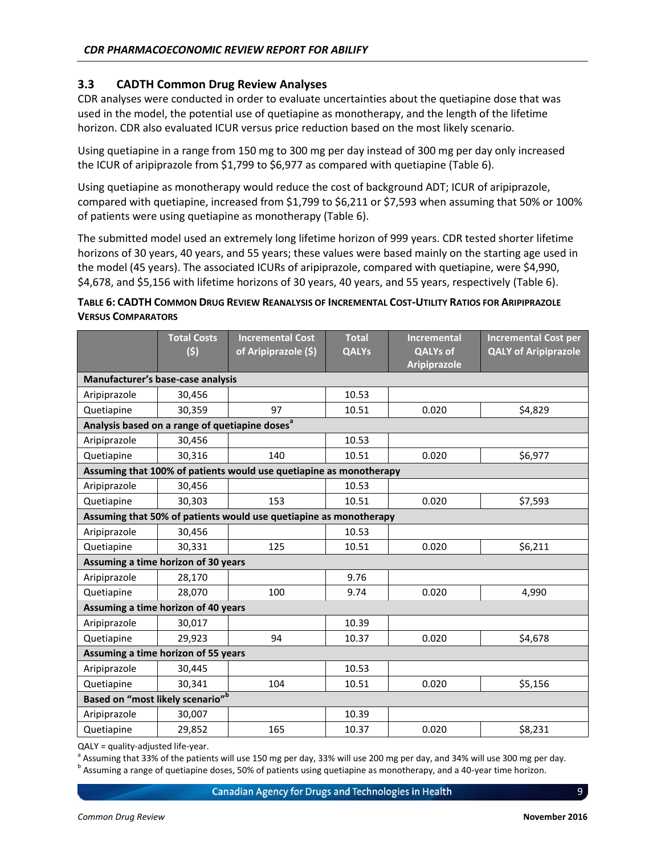#### **3.3 CADTH Common Drug Review Analyses**

CDR analyses were conducted in order to evaluate uncertainties about the quetiapine dose that was used in the model, the potential use of quetiapine as monotherapy, and the length of the lifetime horizon. CDR also evaluated ICUR versus price reduction based on the most likely scenario.

Using quetiapine in a range from 150 mg to 300 mg per day instead of 300 mg per day only increased the ICUR of aripiprazole from \$1,799 to \$6,977 as compared with quetiapine [\(Table 6\)](#page-15-0).

Using quetiapine as monotherapy would reduce the cost of background ADT; ICUR of aripiprazole, compared with quetiapine, increased from \$1,799 to \$6,211 or \$7,593 when assuming that 50% or 100% of patients were using quetiapine as monotherapy [\(Table 6\)](#page-15-0).

The submitted model used an extremely long lifetime horizon of 999 years. CDR tested shorter lifetime horizons of 30 years, 40 years, and 55 years; these values were based mainly on the starting age used in the model (45 years). The associated ICURs of aripiprazole, compared with quetiapine, were \$4,990, \$4,678, and \$5,156 with lifetime horizons of 30 years, 40 years, and 55 years, respectively [\(Table 6\)](#page-15-0).

#### <span id="page-15-0"></span>TABLE 6: CADTH COMMON DRUG REVIEW REANALYSIS OF INCREMENTAL COST-UTILITY RATIOS FOR ARIPIPRAZOLE **VERSUS COMPARATORS**

|                                                            | <b>Total Costs</b><br>(5)                                         | <b>Incremental Cost</b><br>of Aripiprazole (\$)                    | <b>Total</b><br><b>QALYs</b> | <b>Incremental</b><br><b>QALYs of</b><br>Aripiprazole | <b>Incremental Cost per</b><br><b>QALY of Aripiprazole</b> |
|------------------------------------------------------------|-------------------------------------------------------------------|--------------------------------------------------------------------|------------------------------|-------------------------------------------------------|------------------------------------------------------------|
| Manufacturer's base-case analysis                          |                                                                   |                                                                    |                              |                                                       |                                                            |
| Aripiprazole                                               | 30,456                                                            |                                                                    | 10.53                        |                                                       |                                                            |
| Quetiapine                                                 | 30,359                                                            | 97                                                                 | 10.51                        | 0.020                                                 | \$4,829                                                    |
| Analysis based on a range of quetiapine doses <sup>a</sup> |                                                                   |                                                                    |                              |                                                       |                                                            |
| Aripiprazole                                               | 30,456                                                            |                                                                    | 10.53                        |                                                       |                                                            |
| Quetiapine                                                 | 30.316                                                            | 140                                                                | 10.51                        | 0.020                                                 | \$6,977                                                    |
|                                                            |                                                                   | Assuming that 100% of patients would use quetiapine as monotherapy |                              |                                                       |                                                            |
| Aripiprazole                                               | 30,456                                                            |                                                                    | 10.53                        |                                                       |                                                            |
| Quetiapine                                                 | 30,303                                                            | 153                                                                | 10.51                        | 0.020                                                 | \$7,593                                                    |
|                                                            | Assuming that 50% of patients would use quetiapine as monotherapy |                                                                    |                              |                                                       |                                                            |
| Aripiprazole                                               | 30,456                                                            |                                                                    | 10.53                        |                                                       |                                                            |
| Quetiapine                                                 | 30,331                                                            | 125                                                                | 10.51                        | 0.020                                                 | \$6,211                                                    |
| Assuming a time horizon of 30 years                        |                                                                   |                                                                    |                              |                                                       |                                                            |
| Aripiprazole                                               | 28,170                                                            |                                                                    | 9.76                         |                                                       |                                                            |
| Quetiapine                                                 | 28,070                                                            | 100                                                                | 9.74                         | 0.020                                                 | 4,990                                                      |
| Assuming a time horizon of 40 years                        |                                                                   |                                                                    |                              |                                                       |                                                            |
| Aripiprazole                                               | 30,017                                                            |                                                                    | 10.39                        |                                                       |                                                            |
| Quetiapine                                                 | 29,923                                                            | 94                                                                 | 10.37                        | 0.020                                                 | \$4,678                                                    |
| Assuming a time horizon of 55 years                        |                                                                   |                                                                    |                              |                                                       |                                                            |
| Aripiprazole                                               | 30,445                                                            |                                                                    | 10.53                        |                                                       |                                                            |
| Quetiapine                                                 | 30,341                                                            | 104                                                                | 10.51                        | 0.020                                                 | \$5,156                                                    |
| Based on "most likely scenario" <sup>b</sup>               |                                                                   |                                                                    |                              |                                                       |                                                            |
| Aripiprazole                                               | 30,007                                                            |                                                                    | 10.39                        |                                                       |                                                            |
| Quetiapine                                                 | 29,852                                                            | 165                                                                | 10.37                        | 0.020                                                 | \$8,231                                                    |

QALY = quality-adjusted life-year.

<sup>a</sup> Assuming that 33% of the patients will use 150 mg per day, 33% will use 200 mg per day, and 34% will use 300 mg per day.

<sup>b</sup> Assuming a range of quetiapine doses, 50% of patients using quetiapine as monotherapy, and a 40-year time horizon.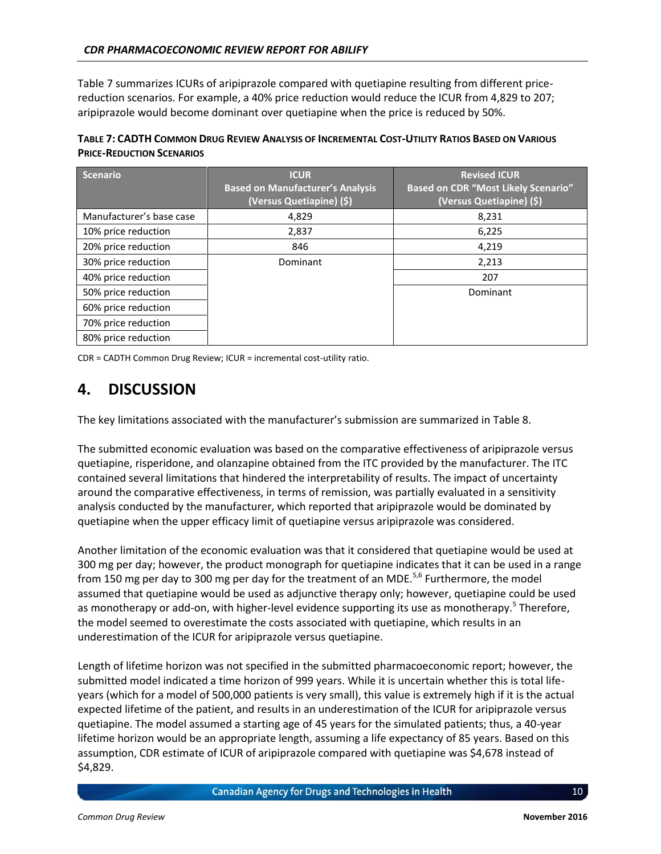[Table 7](#page-16-1) summarizes ICURs of aripiprazole compared with quetiapine resulting from different pricereduction scenarios. For example, a 40% price reduction would reduce the ICUR from 4,829 to 207; aripiprazole would become dominant over quetiapine when the price is reduced by 50%.

<span id="page-16-1"></span>

| TABLE 7: CADTH COMMON DRUG REVIEW ANALYSIS OF INCREMENTAL COST-UTILITY RATIOS BASED ON VARIOUS |
|------------------------------------------------------------------------------------------------|
| <b>PRICE-REDUCTION SCENARIOS</b>                                                               |

| <b>Scenario</b>          | <b>ICUR</b><br><b>Based on Manufacturer's Analysis</b><br>(Versus Quetiapine) (\$) | <b>Revised ICUR</b><br><b>Based on CDR "Most Likely Scenario"</b><br>(Versus Quetiapine) (\$) |
|--------------------------|------------------------------------------------------------------------------------|-----------------------------------------------------------------------------------------------|
| Manufacturer's base case | 4,829                                                                              | 8,231                                                                                         |
| 10% price reduction      | 2,837                                                                              | 6,225                                                                                         |
| 20% price reduction      | 846                                                                                | 4,219                                                                                         |
| 30% price reduction      | Dominant                                                                           | 2,213                                                                                         |
| 40% price reduction      |                                                                                    | 207                                                                                           |
| 50% price reduction      |                                                                                    | Dominant                                                                                      |
| 60% price reduction      |                                                                                    |                                                                                               |
| 70% price reduction      |                                                                                    |                                                                                               |
| 80% price reduction      |                                                                                    |                                                                                               |

CDR = CADTH Common Drug Review; ICUR = incremental cost-utility ratio.

### <span id="page-16-0"></span>**4. DISCUSSION**

The key limitations associated with the manufacturer's submission are summarized in [Table 8.](#page-17-0)

The submitted economic evaluation was based on the comparative effectiveness of aripiprazole versus quetiapine, risperidone, and olanzapine obtained from the ITC provided by the manufacturer. The ITC contained several limitations that hindered the interpretability of results. The impact of uncertainty around the comparative effectiveness, in terms of remission, was partially evaluated in a sensitivity analysis conducted by the manufacturer, which reported that aripiprazole would be dominated by quetiapine when the upper efficacy limit of quetiapine versus aripiprazole was considered.

Another limitation of the economic evaluation was that it considered that quetiapine would be used at 300 mg per day; however, the product monograph for quetiapine indicates that it can be used in a range from 150 mg per day to 300 mg per day for the treatment of an MDE.<sup>5,6</sup> Furthermore, the model assumed that quetiapine would be used as adjunctive therapy only; however, quetiapine could be used as monotherapy or add-on, with higher-level evidence supporting its use as monotherapy.<sup>5</sup> Therefore, the model seemed to overestimate the costs associated with quetiapine, which results in an underestimation of the ICUR for aripiprazole versus quetiapine.

Length of lifetime horizon was not specified in the submitted pharmacoeconomic report; however, the submitted model indicated a time horizon of 999 years. While it is uncertain whether this is total lifeyears (which for a model of 500,000 patients is very small), this value is extremely high if it is the actual expected lifetime of the patient, and results in an underestimation of the ICUR for aripiprazole versus quetiapine. The model assumed a starting age of 45 years for the simulated patients; thus, a 40-year lifetime horizon would be an appropriate length, assuming a life expectancy of 85 years. Based on this assumption, CDR estimate of ICUR of aripiprazole compared with quetiapine was \$4,678 instead of \$4,829.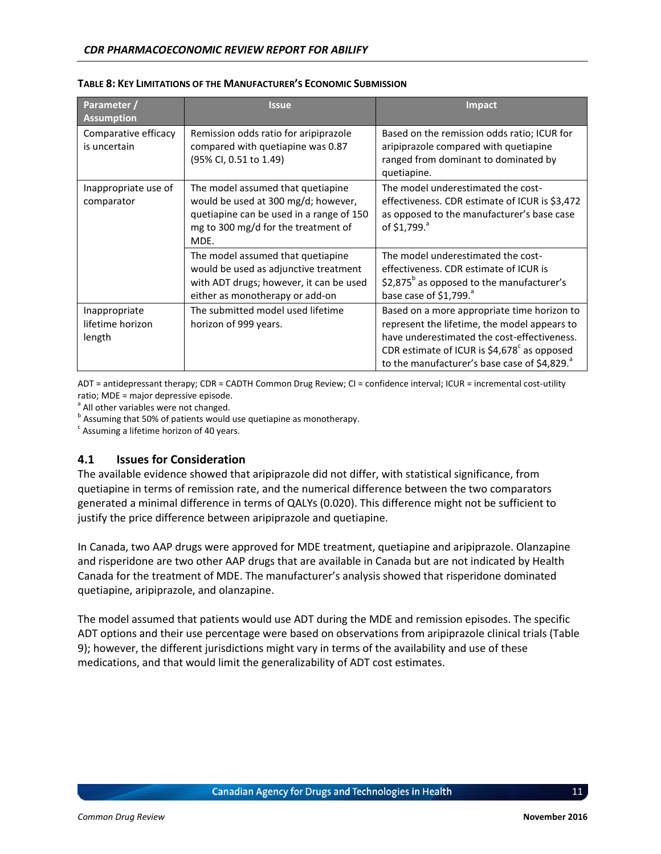| Parameter /<br><b>Assumption</b>            | <b>Issue</b>                                                                                                                                                        | <b>Impact</b>                                                                                                                                                                                                                                    |
|---------------------------------------------|---------------------------------------------------------------------------------------------------------------------------------------------------------------------|--------------------------------------------------------------------------------------------------------------------------------------------------------------------------------------------------------------------------------------------------|
| Comparative efficacy<br>is uncertain        | Remission odds ratio for aripiprazole<br>compared with quetiapine was 0.87<br>(95% CI, 0.51 to 1.49)                                                                | Based on the remission odds ratio; ICUR for<br>aripiprazole compared with quetiapine<br>ranged from dominant to dominated by<br>quetiapine.                                                                                                      |
| Inappropriate use of<br>comparator          | The model assumed that quetiapine<br>would be used at 300 mg/d; however,<br>quetiapine can be used in a range of 150<br>mg to 300 mg/d for the treatment of<br>MDE. | The model underestimated the cost-<br>effectiveness. CDR estimate of ICUR is \$3,472<br>as opposed to the manufacturer's base case<br>of \$1,799. <sup>a</sup>                                                                                   |
|                                             | The model assumed that quetiapine<br>would be used as adjunctive treatment<br>with ADT drugs; however, it can be used<br>either as monotherapy or add-on            | The model underestimated the cost-<br>effectiveness. CDR estimate of ICUR is<br>\$2,875 $^{\circ}$ as opposed to the manufacturer's<br>base case of $$1,799$ .                                                                                   |
| Inappropriate<br>lifetime horizon<br>length | The submitted model used lifetime<br>horizon of 999 years.                                                                                                          | Based on a more appropriate time horizon to<br>represent the lifetime, the model appears to<br>have underestimated the cost-effectiveness.<br>CDR estimate of ICUR is $$4,678^{\circ}$ as opposed<br>to the manufacturer's base case of \$4,829. |

#### <span id="page-17-0"></span>**TABLE 8: KEY LIMITATIONS OF THE MANUFACTURER'S ECONOMIC SUBMISSION**

ADT = antidepressant therapy; CDR = CADTH Common Drug Review; CI = confidence interval; ICUR = incremental cost-utility ratio; MDE = major depressive episode.

<sup>a</sup> All other variables were not changed.

<sup>b</sup> Assuming that 50% of patients would use quetiapine as monotherapy.

 $\textdegree$  Assuming a lifetime horizon of 40 years.

#### **4.1 Issues for Consideration**

The available evidence showed that aripiprazole did not differ, with statistical significance, from quetiapine in terms of remission rate, and the numerical difference between the two comparators generated a minimal difference in terms of QALYs (0.020). This difference might not be sufficient to justify the price difference between aripiprazole and quetiapine.

In Canada, two AAP drugs were approved for MDE treatment, quetiapine and aripiprazole. Olanzapine and risperidone are two other AAP drugs that are available in Canada but are not indicated by Health Canada for the treatment of MDE. The manufacturer's analysis showed that risperidone dominated quetiapine, aripiprazole, and olanzapine.

The model assumed that patients would use ADT during the MDE and remission episodes. The specific ADT options and their use percentage were based on observations from aripiprazole clinical trials [\(Table](#page-18-1)  [9\)](#page-18-1); however, the different jurisdictions might vary in terms of the availability and use of these medications, and that would limit the generalizability of ADT cost estimates.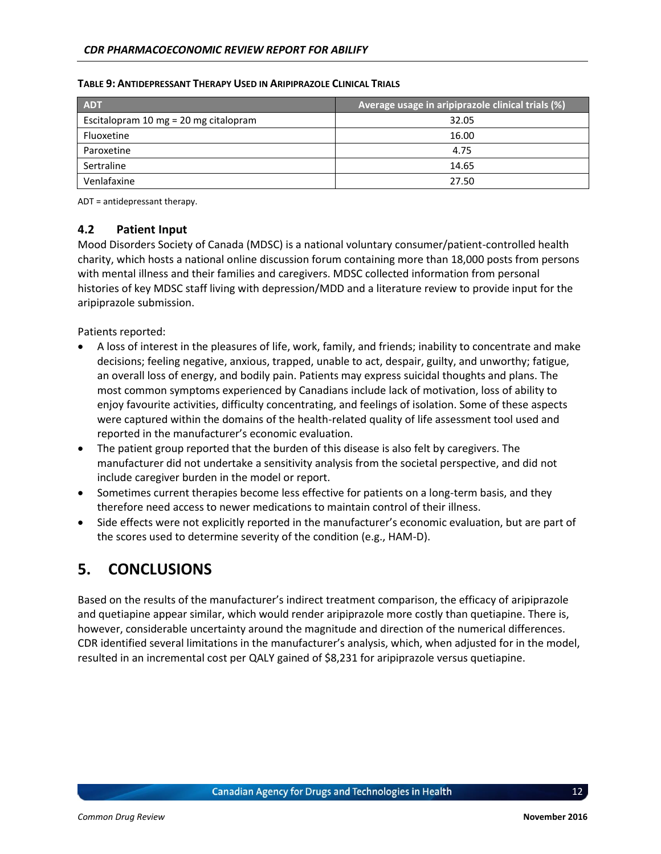| <b>ADT</b>                            | Average usage in aripiprazole clinical trials (%) |
|---------------------------------------|---------------------------------------------------|
| Escitalopram 10 mg = 20 mg citalopram | 32.05                                             |
| Fluoxetine                            | 16.00                                             |
| Paroxetine                            | 4.75                                              |
| Sertraline                            | 14.65                                             |
| Venlafaxine                           | 27.50                                             |

#### <span id="page-18-1"></span>**TABLE 9: ANTIDEPRESSANT THERAPY USED IN ARIPIPRAZOLE CLINICAL TRIALS**

ADT = antidepressant therapy.

#### **4.2 Patient Input**

Mood Disorders Society of Canada (MDSC) is a national voluntary consumer/patient-controlled health charity, which hosts a national online discussion forum containing more than 18,000 posts from persons with mental illness and their families and caregivers. MDSC collected information from personal histories of key MDSC staff living with depression/MDD and a literature review to provide input for the aripiprazole submission.

Patients reported:

- A loss of interest in the pleasures of life, work, family, and friends; inability to concentrate and make decisions; feeling negative, anxious, trapped, unable to act, despair, guilty, and unworthy; fatigue, an overall loss of energy, and bodily pain. Patients may express suicidal thoughts and plans. The most common symptoms experienced by Canadians include lack of motivation, loss of ability to enjoy favourite activities, difficulty concentrating, and feelings of isolation. Some of these aspects were captured within the domains of the health-related quality of life assessment tool used and reported in the manufacturer's economic evaluation.
- The patient group reported that the burden of this disease is also felt by caregivers. The manufacturer did not undertake a sensitivity analysis from the societal perspective, and did not include caregiver burden in the model or report.
- Sometimes current therapies become less effective for patients on a long-term basis, and they therefore need access to newer medications to maintain control of their illness.
- Side effects were not explicitly reported in the manufacturer's economic evaluation, but are part of the scores used to determine severity of the condition (e.g., HAM-D).

### <span id="page-18-0"></span>**5. CONCLUSIONS**

Based on the results of the manufacturer's indirect treatment comparison, the efficacy of aripiprazole and quetiapine appear similar, which would render aripiprazole more costly than quetiapine. There is, however, considerable uncertainty around the magnitude and direction of the numerical differences. CDR identified several limitations in the manufacturer's analysis, which, when adjusted for in the model, resulted in an incremental cost per QALY gained of \$8,231 for aripiprazole versus quetiapine.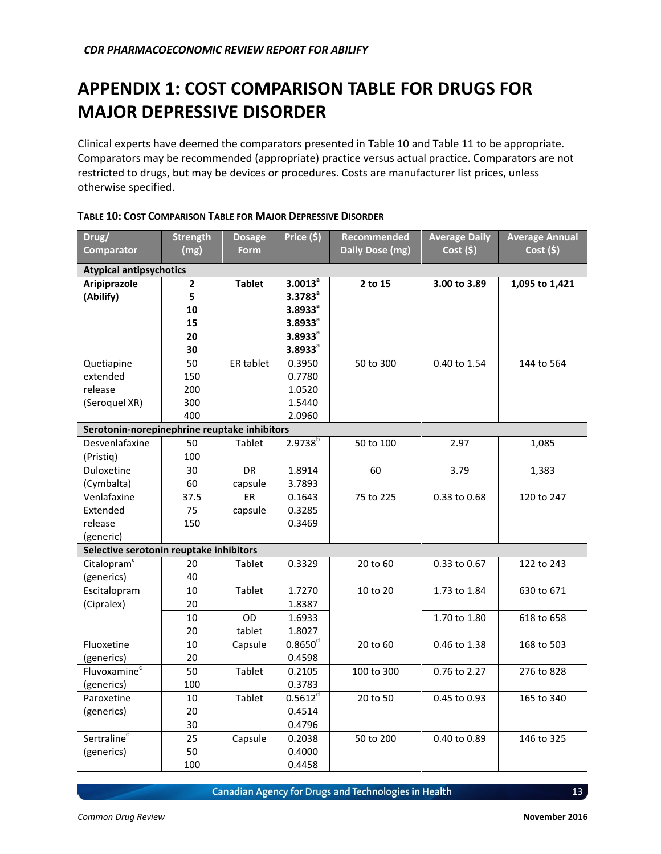## <span id="page-19-0"></span>**APPENDIX 1: COST COMPARISON TABLE FOR DRUGS FOR MAJOR DEPRESSIVE DISORDER**

Clinical experts have deemed the comparators presented in [Table 10](#page-19-1) and [Table 11](#page-20-0) to be appropriate. Comparators may be recommended (appropriate) practice versus actual practice. Comparators are not restricted to drugs, but may be devices or procedures. Costs are manufacturer list prices, unless otherwise specified.

| Drug/                                        | <b>Strength</b> | <b>Dosage</b>    | Price (\$)          | Recommended     | <b>Average Daily</b> | <b>Average Annual</b> |
|----------------------------------------------|-----------------|------------------|---------------------|-----------------|----------------------|-----------------------|
| <b>Comparator</b>                            | (mg)            | <b>Form</b>      |                     | Daily Dose (mg) | Cost(5)              | Cost(5)               |
| <b>Atypical antipsychotics</b>               |                 |                  |                     |                 |                      |                       |
| Aripiprazole                                 | $\mathbf{2}$    | <b>Tablet</b>    | $3.0013^a$          | 2 to 15         | 3.00 to 3.89         | 1,095 to 1,421        |
| (Abilify)                                    | 5               |                  | $3.3783^a$          |                 |                      |                       |
|                                              | 10              |                  | $3.8933^a$          |                 |                      |                       |
|                                              | 15              |                  | $3.8933^a$          |                 |                      |                       |
|                                              | 20              |                  | 3.8933 <sup>a</sup> |                 |                      |                       |
|                                              | 30              |                  | $3.8933^a$          |                 |                      |                       |
| Quetiapine                                   | 50              | <b>ER tablet</b> | 0.3950              | 50 to 300       | 0.40 to 1.54         | 144 to 564            |
| extended                                     | 150             |                  | 0.7780              |                 |                      |                       |
| release                                      | 200             |                  | 1.0520              |                 |                      |                       |
| (Seroquel XR)                                | 300             |                  | 1.5440              |                 |                      |                       |
|                                              | 400             |                  | 2.0960              |                 |                      |                       |
| Serotonin-norepinephrine reuptake inhibitors |                 |                  |                     |                 |                      |                       |
| Desvenlafaxine                               | 50              | Tablet           | $2.9738^{b}$        | 50 to 100       | 2.97                 | 1,085                 |
| (Pristiq)                                    | 100             |                  |                     |                 |                      |                       |
| Duloxetine                                   | 30              | <b>DR</b>        | 1.8914              | 60              | 3.79                 | 1,383                 |
| (Cymbalta)                                   | 60              | capsule          | 3.7893              |                 |                      |                       |
| Venlafaxine                                  | 37.5            | ER               | 0.1643              | 75 to 225       | 0.33 to 0.68         | 120 to 247            |
| Extended                                     | 75              | capsule          | 0.3285              |                 |                      |                       |
| release                                      | 150             |                  | 0.3469              |                 |                      |                       |
| (generic)                                    |                 |                  |                     |                 |                      |                       |
| Selective serotonin reuptake inhibitors      |                 |                  |                     |                 |                      |                       |
| Citalopram <sup>c</sup>                      | 20              | Tablet           | 0.3329              | 20 to 60        | 0.33 to 0.67         | 122 to 243            |
| (generics)                                   | 40              |                  |                     |                 |                      |                       |
| Escitalopram                                 | 10              | Tablet           | 1.7270              | 10 to 20        | 1.73 to 1.84         | 630 to 671            |
| (Cipralex)                                   | 20              |                  | 1.8387              |                 |                      |                       |
|                                              | $10\,$          | OD               | 1.6933              |                 | 1.70 to 1.80         | 618 to 658            |
|                                              | 20              | tablet           | 1.8027              |                 |                      |                       |
| Fluoxetine                                   | $10\,$          | Capsule          | $0.8650^d$          | 20 to 60        | 0.46 to 1.38         | 168 to 503            |
| (generics)                                   | 20              |                  | 0.4598              |                 |                      |                       |
| Fluvoxamine <sup>c</sup>                     | 50              | Tablet           | 0.2105              | 100 to 300      | 0.76 to 2.27         | 276 to 828            |
| (generics)                                   | 100             |                  | 0.3783              |                 |                      |                       |
| Paroxetine                                   | 10              | Tablet           | 0.5612 <sup>d</sup> | 20 to 50        | 0.45 to 0.93         | 165 to 340            |
| (generics)                                   | 20              |                  | 0.4514              |                 |                      |                       |
|                                              | 30              |                  | 0.4796              |                 |                      |                       |
| Sertraline <sup>c</sup>                      | 25              | Capsule          | 0.2038              | 50 to 200       | 0.40 to 0.89         | 146 to 325            |
| (generics)                                   | 50              |                  | 0.4000              |                 |                      |                       |
|                                              | 100             |                  | 0.4458              |                 |                      |                       |

#### <span id="page-19-1"></span>**TABLE 10: COST COMPARISON TABLE FOR MAJOR DEPRESSIVE DISORDER**

**Canadian Agency for Drugs and Technologies in Health**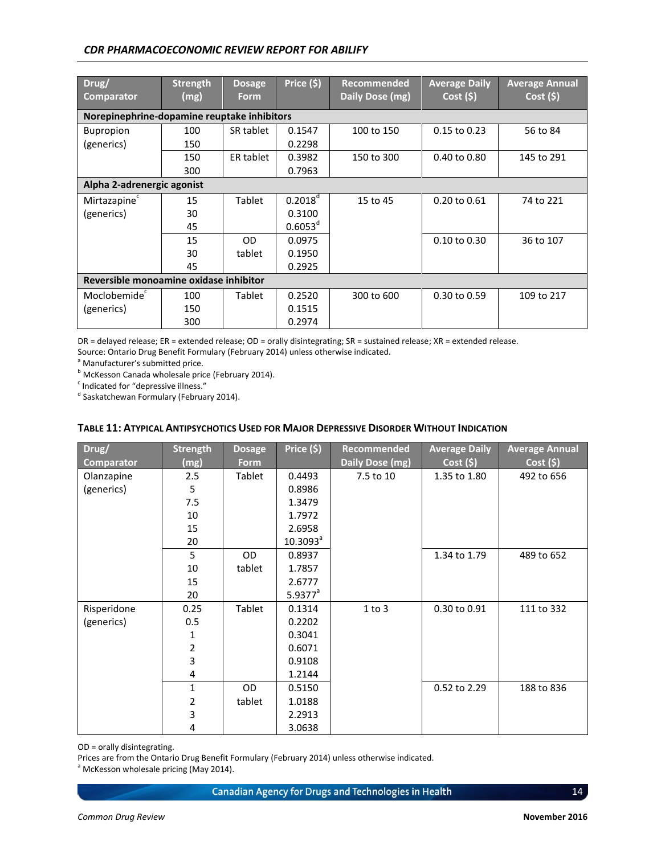#### *CDR PHARMACOECONOMIC REVIEW REPORT FOR ABILIFY*

| Drug/<br><b>Comparator</b>                  | <b>Strength</b><br>(mg) | <b>Dosage</b><br><b>Form</b> | Price (\$)       | <b>Recommended</b><br>Daily Dose (mg) | <b>Average Daily</b><br>$Cost($ \$) | <b>Average Annual</b><br>Cost(5) |  |  |
|---------------------------------------------|-------------------------|------------------------------|------------------|---------------------------------------|-------------------------------------|----------------------------------|--|--|
| Norepinephrine-dopamine reuptake inhibitors |                         |                              |                  |                                       |                                     |                                  |  |  |
| <b>Bupropion</b>                            | 100                     | SR tablet                    | 0.1547           | 100 to 150                            | 0.15 to 0.23                        | 56 to 84                         |  |  |
| (generics)                                  | 150                     |                              | 0.2298           |                                       |                                     |                                  |  |  |
|                                             | 150                     | ER tablet                    | 0.3982           | 150 to 300                            | 0.40 to 0.80                        | 145 to 291                       |  |  |
|                                             | 300                     |                              | 0.7963           |                                       |                                     |                                  |  |  |
| Alpha 2-adrenergic agonist                  |                         |                              |                  |                                       |                                     |                                  |  |  |
| Mirtazapine <sup>c</sup>                    | 15                      | Tablet                       | $0.2018^{\circ}$ | 15 to 45                              | 0.20 to 0.61                        | 74 to 221                        |  |  |
| (generics)                                  | 30                      |                              | 0.3100           |                                       |                                     |                                  |  |  |
|                                             | 45                      |                              | $0.6053^d$       |                                       |                                     |                                  |  |  |
|                                             | 15                      | OD                           | 0.0975           |                                       | $0.10$ to $0.30$                    | 36 to 107                        |  |  |
|                                             | 30                      | tablet                       | 0.1950           |                                       |                                     |                                  |  |  |
|                                             | 45                      |                              | 0.2925           |                                       |                                     |                                  |  |  |
| Reversible monoamine oxidase inhibitor      |                         |                              |                  |                                       |                                     |                                  |  |  |
| Moclobemide <sup>c</sup>                    | 100                     | Tablet                       | 0.2520           | 300 to 600                            | 0.30 to 0.59                        | 109 to 217                       |  |  |
| (generics)                                  | 150                     |                              | 0.1515           |                                       |                                     |                                  |  |  |
|                                             | 300                     |                              | 0.2974           |                                       |                                     |                                  |  |  |

DR = delayed release; ER = extended release; OD = orally disintegrating; SR = sustained release; XR = extended release.

Source: Ontario Drug Benefit Formulary (February 2014) unless otherwise indicated.

<sup>a</sup> Manufacturer's submitted price.

**b** McKesson Canada wholesale price (February 2014).

<sup>c</sup> Indicated for "depressive illness."

<sup>d</sup> Saskatchewan Formulary (February 2014).

| Drug/             | <b>Strength</b> | <b>Dosage</b> | Price (\$)  | Recommended     | <b>Average Daily</b> | <b>Average Annual</b> |
|-------------------|-----------------|---------------|-------------|-----------------|----------------------|-----------------------|
| <b>Comparator</b> | (mg)            | <b>Form</b>   |             | Daily Dose (mg) | $Cost($ \$)          | Cost(5)               |
| Olanzapine        | 2.5             | Tablet        | 0.4493      | 7.5 to 10       | 1.35 to 1.80         | 492 to 656            |
| (generics)        | 5               |               | 0.8986      |                 |                      |                       |
|                   | 7.5             |               | 1.3479      |                 |                      |                       |
|                   | 10              |               | 1.7972      |                 |                      |                       |
|                   | 15              |               | 2.6958      |                 |                      |                       |
|                   | 20              |               | $10.3093^a$ |                 |                      |                       |
|                   | 5               | <b>OD</b>     | 0.8937      |                 | 1.34 to 1.79         | 489 to 652            |
|                   | 10              | tablet        | 1.7857      |                 |                      |                       |
|                   | 15              |               | 2.6777      |                 |                      |                       |
|                   | 20              |               | $5.9377^a$  |                 |                      |                       |
| Risperidone       | 0.25            | Tablet        | 0.1314      | $1$ to $3$      | 0.30 to 0.91         | 111 to 332            |
| (generics)        | 0.5             |               | 0.2202      |                 |                      |                       |
|                   | 1               |               | 0.3041      |                 |                      |                       |
|                   | $\overline{2}$  |               | 0.6071      |                 |                      |                       |
|                   | 3               |               | 0.9108      |                 |                      |                       |
|                   | 4               |               | 1.2144      |                 |                      |                       |
|                   | 1               | <b>OD</b>     | 0.5150      |                 | 0.52 to 2.29         | 188 to 836            |
|                   | $\overline{2}$  | tablet        | 1.0188      |                 |                      |                       |
|                   | 3               |               | 2.2913      |                 |                      |                       |
|                   | 4               |               | 3.0638      |                 |                      |                       |

#### <span id="page-20-0"></span>**TABLE 11: ATYPICAL ANTIPSYCHOTICS USED FOR MAJOR DEPRESSIVE DISORDER WITHOUT INDICATION**

OD = orally disintegrating.

Prices are from the Ontario Drug Benefit Formulary (February 2014) unless otherwise indicated.

<sup>a</sup> McKesson wholesale pricing (May 2014).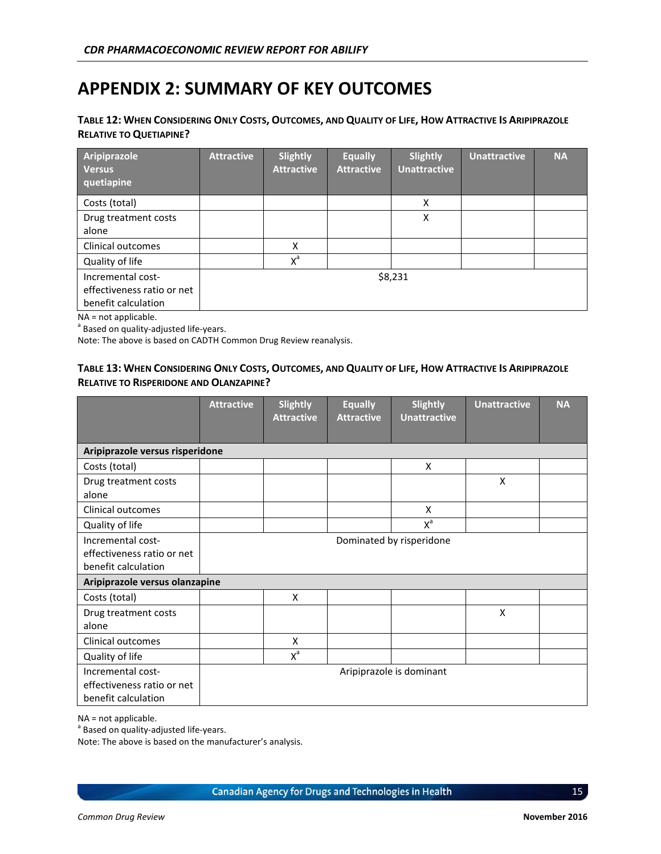## <span id="page-21-0"></span>**APPENDIX 2: SUMMARY OF KEY OUTCOMES**

#### <span id="page-21-1"></span>TABLE 12: WHEN CONSIDERING ONLY COSTS, OUTCOMES, AND QUALITY OF LIFE, HOW ATTRACTIVE IS ARIPIPRAZOLE **RELATIVE TO QUETIAPINE?**

| Aripiprazole<br><b>Versus</b><br>quetiapine                            | <b>Attractive</b> | <b>Slightly</b><br><b>Attractive</b> | <b>Equally</b><br><b>Attractive</b> | <b>Slightly</b><br><b>Unattractive</b> | <b>Unattractive</b> | <b>NA</b> |
|------------------------------------------------------------------------|-------------------|--------------------------------------|-------------------------------------|----------------------------------------|---------------------|-----------|
| Costs (total)                                                          |                   |                                      |                                     | x                                      |                     |           |
| Drug treatment costs<br>alone                                          |                   |                                      |                                     | Χ                                      |                     |           |
| Clinical outcomes                                                      |                   | x                                    |                                     |                                        |                     |           |
| Quality of life                                                        |                   | $X^a$                                |                                     |                                        |                     |           |
| Incremental cost-<br>effectiveness ratio or net<br>benefit calculation |                   |                                      |                                     | \$8,231                                |                     |           |

NA = not applicable.

<sup>a</sup> Based on quality-adjusted life-years.

Note: The above is based on CADTH Common Drug Review reanalysis.

#### <span id="page-21-2"></span>TABLE 13: WHEN CONSIDERING ONLY COSTS, OUTCOMES, AND QUALITY OF LIFE, HOW ATTRACTIVE IS ARIPIPRAZOLE **RELATIVE TO RISPERIDONE AND OLANZAPINE?**

|                                                                        | <b>Attractive</b>        | <b>Slightly</b><br><b>Attractive</b> | <b>Equally</b><br><b>Attractive</b> | Slightly<br><b>Unattractive</b> | <b>Unattractive</b> | <b>NA</b> |
|------------------------------------------------------------------------|--------------------------|--------------------------------------|-------------------------------------|---------------------------------|---------------------|-----------|
|                                                                        |                          |                                      |                                     |                                 |                     |           |
| Aripiprazole versus risperidone                                        |                          |                                      |                                     |                                 |                     |           |
| Costs (total)                                                          |                          |                                      |                                     | X                               |                     |           |
| Drug treatment costs<br>alone                                          |                          |                                      |                                     |                                 | X                   |           |
| Clinical outcomes                                                      |                          |                                      |                                     | X                               |                     |           |
| Quality of life                                                        |                          |                                      |                                     | $X^a$                           |                     |           |
| Incremental cost-<br>effectiveness ratio or net<br>benefit calculation | Dominated by risperidone |                                      |                                     |                                 |                     |           |
| Aripiprazole versus olanzapine                                         |                          |                                      |                                     |                                 |                     |           |
| Costs (total)                                                          |                          | X                                    |                                     |                                 |                     |           |
| Drug treatment costs<br>alone                                          |                          |                                      |                                     |                                 | X                   |           |
| Clinical outcomes                                                      |                          | X                                    |                                     |                                 |                     |           |
| Quality of life                                                        |                          | $X^a$                                |                                     |                                 |                     |           |
| Incremental cost-<br>effectiveness ratio or net<br>benefit calculation |                          |                                      |                                     | Aripiprazole is dominant        |                     |           |

NA = not applicable.

<sup>a</sup> Based on quality-adjusted life-years.

Note: The above is based on the manufacturer's analysis.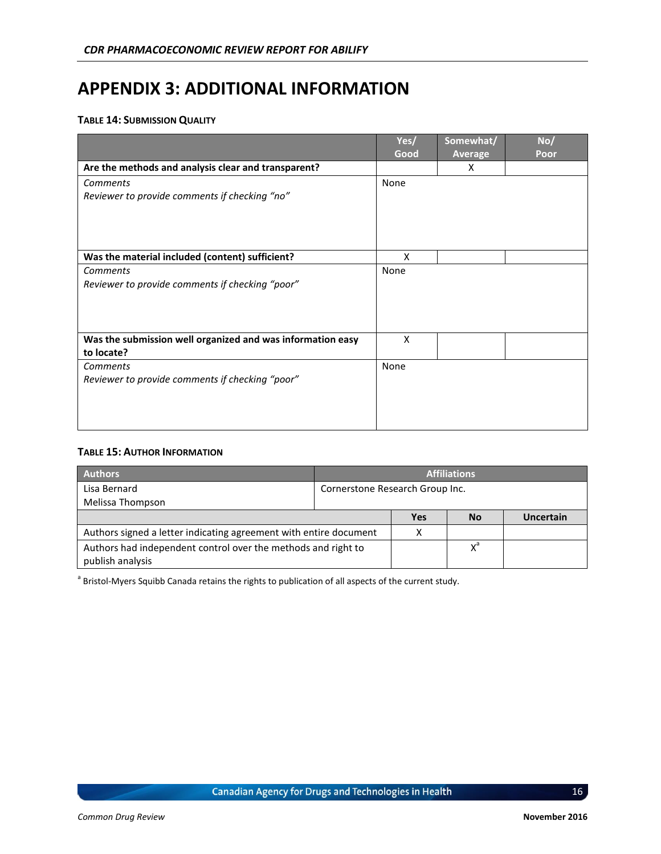### <span id="page-22-0"></span>**APPENDIX 3: ADDITIONAL INFORMATION**

#### <span id="page-22-1"></span>**TABLE 14: SUBMISSION QUALITY**

|                                                            | Yes/ | Somewhat/      | No/  |
|------------------------------------------------------------|------|----------------|------|
|                                                            | Good | <b>Average</b> | Poor |
| Are the methods and analysis clear and transparent?        |      | X              |      |
| Comments                                                   | None |                |      |
| Reviewer to provide comments if checking "no"              |      |                |      |
|                                                            |      |                |      |
|                                                            |      |                |      |
|                                                            |      |                |      |
| Was the material included (content) sufficient?            | X    |                |      |
| Comments                                                   | None |                |      |
| Reviewer to provide comments if checking "poor"            |      |                |      |
|                                                            |      |                |      |
|                                                            |      |                |      |
|                                                            |      |                |      |
| Was the submission well organized and was information easy | X    |                |      |
| to locate?                                                 |      |                |      |
| <b>Comments</b>                                            | None |                |      |
| Reviewer to provide comments if checking "poor"            |      |                |      |
|                                                            |      |                |      |
|                                                            |      |                |      |
|                                                            |      |                |      |

#### <span id="page-22-2"></span>**TABLE 15: AUTHOR INFORMATION**

| <b>Authors</b>                                                                    | <b>Affiliations</b>             |       |           |           |  |
|-----------------------------------------------------------------------------------|---------------------------------|-------|-----------|-----------|--|
| Lisa Bernard<br>Melissa Thompson                                                  | Cornerstone Research Group Inc. |       |           |           |  |
|                                                                                   |                                 | Yes   | <b>No</b> | Uncertain |  |
| Authors signed a letter indicating agreement with entire document                 | х                               |       |           |           |  |
| Authors had independent control over the methods and right to<br>publish analysis |                                 | $X^a$ |           |           |  |

<sup>a</sup> Bristol-Myers Squibb Canada retains the rights to publication of all aspects of the current study.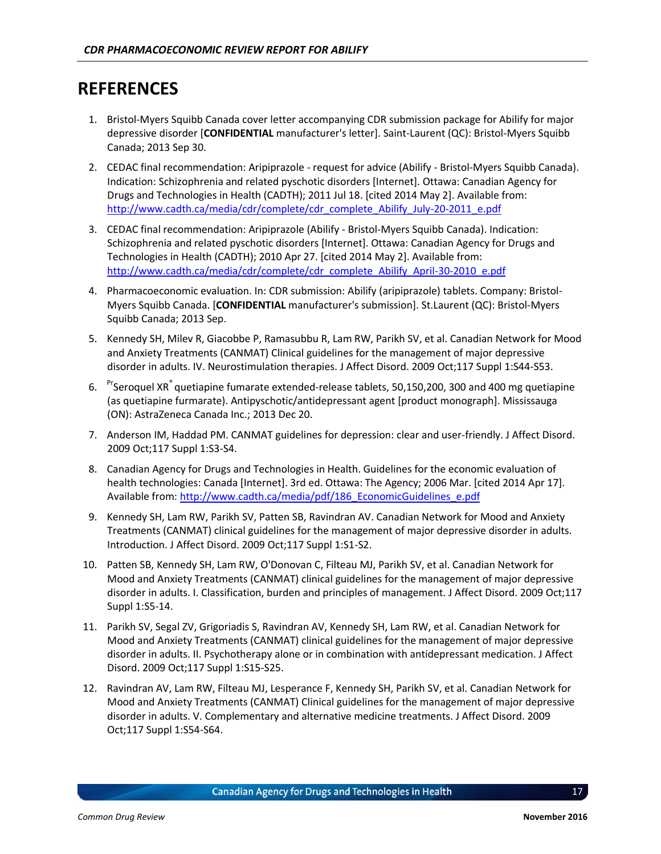### <span id="page-23-0"></span>**REFERENCES**

- 1. Bristol-Myers Squibb Canada cover letter accompanying CDR submission package for Abilify for major depressive disorder [**CONFIDENTIAL** manufacturer's letter]. Saint-Laurent (QC): Bristol-Myers Squibb Canada; 2013 Sep 30.
- 2. CEDAC final recommendation: Aripiprazole request for advice (Abilify Bristol-Myers Squibb Canada). Indication: Schizophrenia and related pyschotic disorders [Internet]. Ottawa: Canadian Agency for Drugs and Technologies in Health (CADTH); 2011 Jul 18. [cited 2014 May 2]. Available from: [http://www.cadth.ca/media/cdr/complete/cdr\\_complete\\_Abilify\\_July-20-2011\\_e.pdf](http://www.cadth.ca/media/cdr/complete/cdr_complete_Abilify_July-20-2011_e.pdf)
- 3. CEDAC final recommendation: Aripiprazole (Abilify Bristol-Myers Squibb Canada). Indication: Schizophrenia and related pyschotic disorders [Internet]. Ottawa: Canadian Agency for Drugs and Technologies in Health (CADTH); 2010 Apr 27. [cited 2014 May 2]. Available from: [http://www.cadth.ca/media/cdr/complete/cdr\\_complete\\_Abilify\\_April-30-2010\\_e.pdf](http://www.cadth.ca/media/cdr/complete/cdr_complete_Abilify_April-30-2010_e.pdf)
- 4. Pharmacoeconomic evaluation. In: CDR submission: Abilify (aripiprazole) tablets. Company: Bristol-Myers Squibb Canada. [**CONFIDENTIAL** manufacturer's submission]. St.Laurent (QC): Bristol-Myers Squibb Canada; 2013 Sep.
- 5. Kennedy SH, Milev R, Giacobbe P, Ramasubbu R, Lam RW, Parikh SV, et al. Canadian Network for Mood and Anxiety Treatments (CANMAT) Clinical guidelines for the management of major depressive disorder in adults. IV. Neurostimulation therapies. J Affect Disord. 2009 Oct;117 Suppl 1:S44-S53.
- 6. PrSeroquel XR<sup>®</sup> quetiapine fumarate extended-release tablets, 50,150,200, 300 and 400 mg quetiapine (as quetiapine furmarate). Antipyschotic/antidepressant agent [product monograph]. Mississauga (ON): AstraZeneca Canada Inc.; 2013 Dec 20.
- 7. Anderson IM, Haddad PM. CANMAT guidelines for depression: clear and user-friendly. J Affect Disord. 2009 Oct;117 Suppl 1:S3-S4.
- 8. Canadian Agency for Drugs and Technologies in Health. Guidelines for the economic evaluation of health technologies: Canada [Internet]. 3rd ed. Ottawa: The Agency; 2006 Mar. [cited 2014 Apr 17]. Available from[: http://www.cadth.ca/media/pdf/186\\_EconomicGuidelines\\_e.pdf](http://www.cadth.ca/media/pdf/186_EconomicGuidelines_e.pdf)
- 9. Kennedy SH, Lam RW, Parikh SV, Patten SB, Ravindran AV. Canadian Network for Mood and Anxiety Treatments (CANMAT) clinical guidelines for the management of major depressive disorder in adults. Introduction. J Affect Disord. 2009 Oct;117 Suppl 1:S1-S2.
- 10. Patten SB, Kennedy SH, Lam RW, O'Donovan C, Filteau MJ, Parikh SV, et al. Canadian Network for Mood and Anxiety Treatments (CANMAT) clinical guidelines for the management of major depressive disorder in adults. I. Classification, burden and principles of management. J Affect Disord. 2009 Oct;117 Suppl 1:S5-14.
- 11. Parikh SV, Segal ZV, Grigoriadis S, Ravindran AV, Kennedy SH, Lam RW, et al. Canadian Network for Mood and Anxiety Treatments (CANMAT) clinical guidelines for the management of major depressive disorder in adults. II. Psychotherapy alone or in combination with antidepressant medication. J Affect Disord. 2009 Oct;117 Suppl 1:S15-S25.
- 12. Ravindran AV, Lam RW, Filteau MJ, Lesperance F, Kennedy SH, Parikh SV, et al. Canadian Network for Mood and Anxiety Treatments (CANMAT) Clinical guidelines for the management of major depressive disorder in adults. V. Complementary and alternative medicine treatments. J Affect Disord. 2009 Oct;117 Suppl 1:S54-S64.